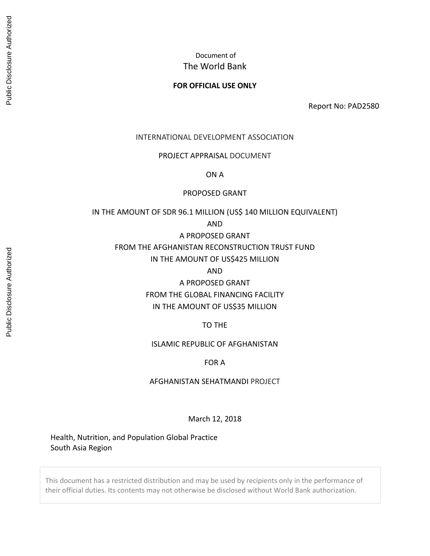# Document of The World Bank

#### **FOR OFFICIAL USE ONLY**

Report No: PAD2580

#### INTERNATIONAL DEVELOPMENT ASSOCIATION

#### PROJECT APPRAISAL DOCUMENT

ON A

#### PROPOSED GRANT

#### IN THE AMOUNT OF SDR 96.1 MILLION (US\$ 140 MILLION EQUIVALENT)

AND

## A PROPOSED GRANT

## FROM THE AFGHANISTAN RECONSTRUCTION TRUST FUND

### IN THE AMOUNT OF US\$425 MILLION

AND

# A PROPOSED GRANT

# FROM THE GLOBAL FINANCING FACILITY IN THE AMOUNT OF US\$35 MILLION

### TO THE

#### ISLAMIC REPUBLIC OF AFGHANISTAN

#### FOR A

#### AFGHANISTAN SEHATMANDI PROJECT

#### March 12, 2018

Health, Nutrition, and Population Global Practice South Asia Region

This document has a restricted distribution and may be used by recipients only in the performance of their official duties. Its contents may not otherwise be disclosed without World Bank authorization.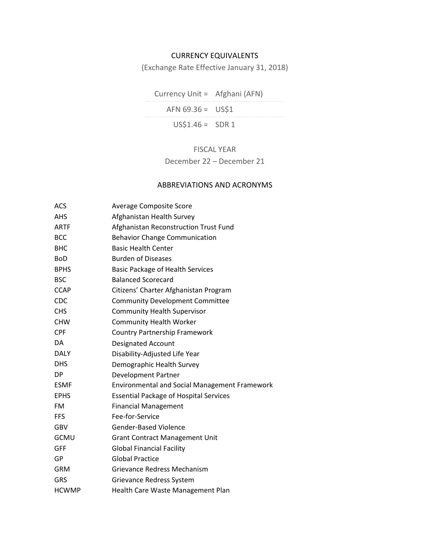## CURRENCY EQUIVALENTS

(Exchange Rate Effective January 31, 2018)

Currency Unit = Afghani (AFN)  $AFN 69.36 = US$1$  $US$1.46 = SNR 1$ 

# FISCAL YEAR

December 22 – December 21

## ABBREVIATIONS AND ACRONYMS

| ACS          | <b>Average Composite Score</b>                       |
|--------------|------------------------------------------------------|
| <b>AHS</b>   | Afghanistan Health Survey                            |
| <b>ARTF</b>  | Afghanistan Reconstruction Trust Fund                |
| <b>BCC</b>   | <b>Behavior Change Communication</b>                 |
| <b>BHC</b>   | <b>Basic Health Center</b>                           |
| <b>BoD</b>   | <b>Burden of Diseases</b>                            |
| <b>BPHS</b>  | <b>Basic Package of Health Services</b>              |
| <b>BSC</b>   | <b>Balanced Scorecard</b>                            |
| <b>CCAP</b>  | Citizens' Charter Afghanistan Program                |
| CDC          | <b>Community Development Committee</b>               |
| <b>CHS</b>   | <b>Community Health Supervisor</b>                   |
| <b>CHW</b>   | <b>Community Health Worker</b>                       |
| <b>CPF</b>   | <b>Country Partnership Framework</b>                 |
| DA           | <b>Designated Account</b>                            |
| <b>DALY</b>  | Disability-Adjusted Life Year                        |
| <b>DHS</b>   | Demographic Health Survey                            |
| DP           | <b>Development Partner</b>                           |
| <b>ESMF</b>  | <b>Environmental and Social Management Framework</b> |
| <b>EPHS</b>  | <b>Essential Package of Hospital Services</b>        |
| <b>FM</b>    | <b>Financial Management</b>                          |
| <b>FFS</b>   | Fee-for-Service                                      |
| <b>GBV</b>   | <b>Gender-Based Violence</b>                         |
| <b>GCMU</b>  | <b>Grant Contract Management Unit</b>                |
| <b>GFF</b>   | <b>Global Financial Facility</b>                     |
| GP           | <b>Global Practice</b>                               |
| <b>GRM</b>   | Grievance Redress Mechanism                          |
| <b>GRS</b>   | Grievance Redress System                             |
| <b>HCWMP</b> | Health Care Waste Management Plan                    |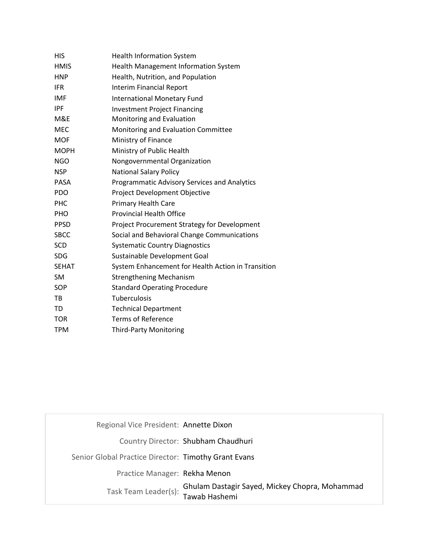| <b>HIS</b>   | <b>Health Information System</b>                   |
|--------------|----------------------------------------------------|
| <b>HMIS</b>  | <b>Health Management Information System</b>        |
| <b>HNP</b>   | Health, Nutrition, and Population                  |
| <b>IFR</b>   | <b>Interim Financial Report</b>                    |
| <b>IMF</b>   | <b>International Monetary Fund</b>                 |
| <b>IPF</b>   | <b>Investment Project Financing</b>                |
| M&E          | Monitoring and Evaluation                          |
| <b>MEC</b>   | Monitoring and Evaluation Committee                |
| <b>MOF</b>   | Ministry of Finance                                |
| <b>MOPH</b>  | Ministry of Public Health                          |
| <b>NGO</b>   | Nongovernmental Organization                       |
| <b>NSP</b>   | <b>National Salary Policy</b>                      |
| <b>PASA</b>  | Programmatic Advisory Services and Analytics       |
| <b>PDO</b>   | Project Development Objective                      |
| <b>PHC</b>   | <b>Primary Health Care</b>                         |
| <b>PHO</b>   | <b>Provincial Health Office</b>                    |
| <b>PPSD</b>  | Project Procurement Strategy for Development       |
| <b>SBCC</b>  | Social and Behavioral Change Communications        |
| <b>SCD</b>   | <b>Systematic Country Diagnostics</b>              |
| <b>SDG</b>   | Sustainable Development Goal                       |
| <b>SEHAT</b> | System Enhancement for Health Action in Transition |
| <b>SM</b>    | <b>Strengthening Mechanism</b>                     |
| <b>SOP</b>   | <b>Standard Operating Procedure</b>                |
| TB           | <b>Tuberculosis</b>                                |
| TD           | <b>Technical Department</b>                        |
| <b>TOR</b>   | <b>Terms of Reference</b>                          |
| <b>TPM</b>   | <b>Third-Party Monitoring</b>                      |

| Regional Vice President: Annette Dixon               |                                                                 |
|------------------------------------------------------|-----------------------------------------------------------------|
|                                                      | Country Director: Shubham Chaudhuri                             |
| Senior Global Practice Director: Timothy Grant Evans |                                                                 |
| Practice Manager: Rekha Menon                        |                                                                 |
| Task Team Leader(s):                                 | Ghulam Dastagir Sayed, Mickey Chopra, Mohammad<br>Tawab Hashemi |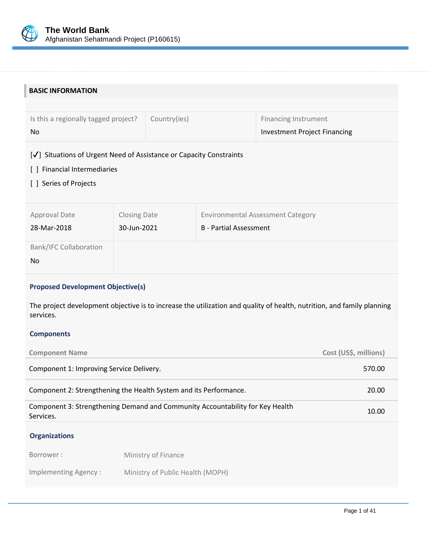

| <b>BASIC INFORMATION</b>                                                                                                            |                     |                                  |                                          |                                     |                       |
|-------------------------------------------------------------------------------------------------------------------------------------|---------------------|----------------------------------|------------------------------------------|-------------------------------------|-----------------------|
|                                                                                                                                     |                     |                                  |                                          |                                     |                       |
| Is this a regionally tagged project?                                                                                                |                     | Country(ies)                     |                                          | <b>Financing Instrument</b>         |                       |
| No                                                                                                                                  |                     |                                  |                                          | <b>Investment Project Financing</b> |                       |
| [V] Situations of Urgent Need of Assistance or Capacity Constraints                                                                 |                     |                                  |                                          |                                     |                       |
| [ ] Financial Intermediaries                                                                                                        |                     |                                  |                                          |                                     |                       |
| [ ] Series of Projects                                                                                                              |                     |                                  |                                          |                                     |                       |
|                                                                                                                                     |                     |                                  |                                          |                                     |                       |
| <b>Approval Date</b>                                                                                                                | <b>Closing Date</b> |                                  | <b>Environmental Assessment Category</b> |                                     |                       |
| 28-Mar-2018                                                                                                                         | 30-Jun-2021         |                                  | <b>B</b> - Partial Assessment            |                                     |                       |
| <b>Bank/IFC Collaboration</b>                                                                                                       |                     |                                  |                                          |                                     |                       |
| <b>No</b>                                                                                                                           |                     |                                  |                                          |                                     |                       |
|                                                                                                                                     |                     |                                  |                                          |                                     |                       |
| <b>Proposed Development Objective(s)</b>                                                                                            |                     |                                  |                                          |                                     |                       |
| The project development objective is to increase the utilization and quality of health, nutrition, and family planning<br>services. |                     |                                  |                                          |                                     |                       |
| <b>Components</b>                                                                                                                   |                     |                                  |                                          |                                     |                       |
| <b>Component Name</b>                                                                                                               |                     |                                  |                                          |                                     | Cost (US\$, millions) |
| Component 1: Improving Service Delivery.                                                                                            |                     |                                  |                                          |                                     | 570.00                |
| Component 2: Strengthening the Health System and its Performance.                                                                   |                     |                                  |                                          |                                     | 20.00                 |
| Component 3: Strengthening Demand and Community Accountability for Key Health<br>10.00<br>Services.                                 |                     |                                  |                                          |                                     |                       |
| <b>Organizations</b>                                                                                                                |                     |                                  |                                          |                                     |                       |
| Borrower:                                                                                                                           |                     | Ministry of Finance              |                                          |                                     |                       |
| <b>Implementing Agency:</b>                                                                                                         |                     | Ministry of Public Health (MOPH) |                                          |                                     |                       |
|                                                                                                                                     |                     |                                  |                                          |                                     |                       |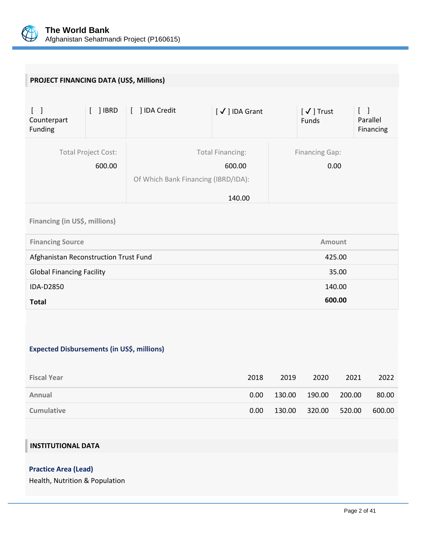

| PROJECT FINANCING DATA (US\$, Millions)                     |                                      |                                     |                                             |        |                            |                                 |                       |
|-------------------------------------------------------------|--------------------------------------|-------------------------------------|---------------------------------------------|--------|----------------------------|---------------------------------|-----------------------|
| $\begin{bmatrix} 1 \end{bmatrix}$<br>Counterpart<br>Funding | $[ ]$ IBRD                           | [ ] IDA Credit                      | [√] IDA Grant                               |        | $[\sqrt{}]$ Trust<br>Funds | $\begin{bmatrix} \end{bmatrix}$ | Parallel<br>Financing |
|                                                             | <b>Total Project Cost:</b><br>600.00 | Of Which Bank Financing (IBRD/IDA): | <b>Total Financing:</b><br>600.00<br>140.00 |        | <b>Financing Gap:</b>      | 0.00                            |                       |
| Financing (in US\$, millions)                               |                                      |                                     |                                             |        |                            |                                 |                       |
| <b>Financing Source</b>                                     |                                      |                                     |                                             |        |                            | Amount                          |                       |
| Afghanistan Reconstruction Trust Fund                       |                                      |                                     |                                             |        |                            | 425.00                          |                       |
| <b>Global Financing Facility</b>                            |                                      |                                     |                                             |        |                            | 35.00                           |                       |
| IDA-D2850                                                   |                                      |                                     |                                             |        |                            | 140.00                          |                       |
| <b>Total</b>                                                |                                      |                                     |                                             |        |                            | 600.00                          |                       |
| <b>Expected Disbursements (in US\$, millions)</b>           |                                      |                                     |                                             |        |                            |                                 |                       |
| <b>Fiscal Year</b>                                          |                                      |                                     | 2018                                        | 2019   | 2020                       | 2021                            | 2022                  |
| Annual                                                      |                                      |                                     | 0.00                                        | 130.00 | 190.00                     | 200.00                          | 80.00                 |
| <b>Cumulative</b>                                           |                                      |                                     | 0.00                                        | 130.00 | 320.00                     | 520.00                          | 600.00                |
| <b>INSTITUTIONAL DATA</b>                                   |                                      |                                     |                                             |        |                            |                                 |                       |

**Practice Area (Lead)**

Health, Nutrition & Population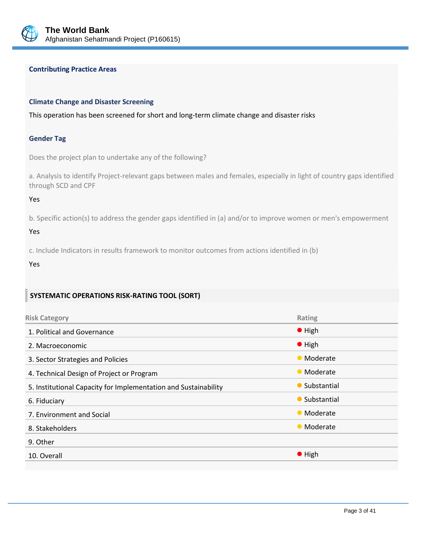

#### **Contributing Practice Areas**

#### **Climate Change and Disaster Screening**

This operation has been screened for short and long-term climate change and disaster risks

#### **Gender Tag**

Does the project plan to undertake any of the following?

a. Analysis to identify Project-relevant gaps between males and females, especially in light of country gaps identified through SCD and CPF

Yes

b. Specific action(s) to address the gender gaps identified in (a) and/or to improve women or men's empowerment

#### Yes

c. Include Indicators in results framework to monitor outcomes from actions identified in (b)

Yes

#### **SYSTEMATIC OPERATIONS RISK-RATING TOOL (SORT)**

| <b>Risk Category</b>                                            | Rating         |
|-----------------------------------------------------------------|----------------|
| 1. Political and Governance                                     | $\bullet$ High |
| 2. Macroeconomic                                                | $\bullet$ High |
| 3. Sector Strategies and Policies                               | • Moderate     |
| 4. Technical Design of Project or Program                       | • Moderate     |
| 5. Institutional Capacity for Implementation and Sustainability | • Substantial  |
| 6. Fiduciary                                                    | • Substantial  |
| 7. Environment and Social                                       | • Moderate     |
| 8. Stakeholders                                                 | • Moderate     |
| 9. Other                                                        |                |
| 10. Overall                                                     | $\bullet$ High |
|                                                                 |                |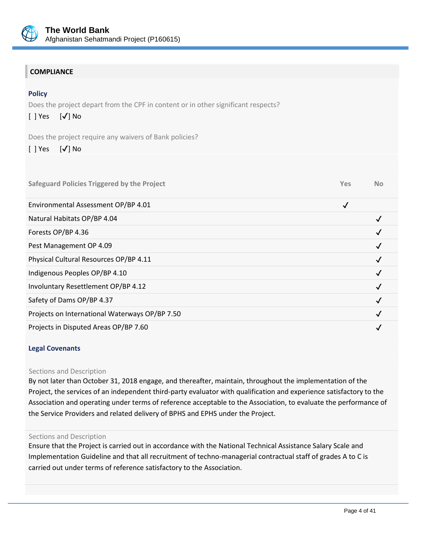

# **COMPLIANCE**

### **Policy**

Does the project depart from the CPF in content or in other significant respects?

# $[$  | Yes  $[$   $\sqrt{}$  | No

Does the project require any waivers of Bank policies?

## [ ] Yes [✔] No

| <b>Safeguard Policies Triggered by the Project</b> | <b>Yes</b> | <b>No</b> |
|----------------------------------------------------|------------|-----------|
| Environmental Assessment OP/BP 4.01                | √          |           |
| Natural Habitats OP/BP 4.04                        |            |           |
| Forests OP/BP 4.36                                 |            |           |
| Pest Management OP 4.09                            |            |           |
| Physical Cultural Resources OP/BP 4.11             |            |           |
| Indigenous Peoples OP/BP 4.10                      |            |           |
| Involuntary Resettlement OP/BP 4.12                |            |           |
| Safety of Dams OP/BP 4.37                          |            |           |
| Projects on International Waterways OP/BP 7.50     |            |           |
| Projects in Disputed Areas OP/BP 7.60              |            |           |

#### **Legal Covenants**

#### Sections and Description

By not later than October 31, 2018 engage, and thereafter, maintain, throughout the implementation of the Project, the services of an independent third-party evaluator with qualification and experience satisfactory to the Association and operating under terms of reference acceptable to the Association, to evaluate the performance of the Service Providers and related delivery of BPHS and EPHS under the Project.

#### Sections and Description

Ensure that the Project is carried out in accordance with the National Technical Assistance Salary Scale and Implementation Guideline and that all recruitment of techno-managerial contractual staff of grades A to C is carried out under terms of reference satisfactory to the Association.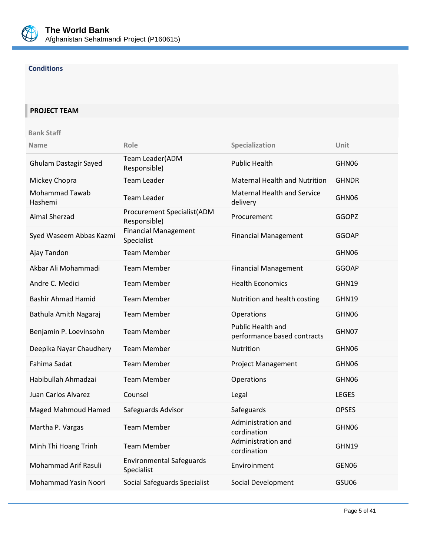

# **Conditions**

# **PROJECT TEAM**

#### **Bank Staff**

| <b>Name</b>                      | Role                                          | Specialization                                   | Unit         |
|----------------------------------|-----------------------------------------------|--------------------------------------------------|--------------|
| <b>Ghulam Dastagir Sayed</b>     | Team Leader(ADM<br>Responsible)               | <b>Public Health</b>                             | GHN06        |
| Mickey Chopra                    | <b>Team Leader</b>                            | <b>Maternal Health and Nutrition</b>             | <b>GHNDR</b> |
| <b>Mohammad Tawab</b><br>Hashemi | <b>Team Leader</b>                            | <b>Maternal Health and Service</b><br>delivery   | GHN06        |
| <b>Aimal Sherzad</b>             | Procurement Specialist(ADM<br>Responsible)    | Procurement                                      | <b>GGOPZ</b> |
| Syed Waseem Abbas Kazmi          | <b>Financial Management</b><br>Specialist     | <b>Financial Management</b>                      | <b>GGOAP</b> |
| Ajay Tandon                      | <b>Team Member</b>                            |                                                  | GHN06        |
| Akbar Ali Mohammadi              | <b>Team Member</b>                            | <b>Financial Management</b>                      | <b>GGOAP</b> |
| Andre C. Medici                  | <b>Team Member</b>                            | <b>Health Economics</b>                          | GHN19        |
| <b>Bashir Ahmad Hamid</b>        | <b>Team Member</b>                            | Nutrition and health costing                     | GHN19        |
| Bathula Amith Nagaraj            | <b>Team Member</b>                            | Operations                                       | GHN06        |
| Benjamin P. Loevinsohn           | <b>Team Member</b>                            | Public Health and<br>performance based contracts | GHN07        |
| Deepika Nayar Chaudhery          | <b>Team Member</b>                            | Nutrition                                        | GHN06        |
| Fahima Sadat                     | <b>Team Member</b>                            | <b>Project Management</b>                        | GHN06        |
| Habibullah Ahmadzai              | <b>Team Member</b>                            | Operations                                       | GHN06        |
| Juan Carlos Alvarez              | Counsel                                       | Legal                                            | <b>LEGES</b> |
| <b>Maged Mahmoud Hamed</b>       | Safeguards Advisor                            | Safeguards                                       | <b>OPSES</b> |
| Martha P. Vargas                 | <b>Team Member</b>                            | Administration and<br>cordination                | GHN06        |
| Minh Thi Hoang Trinh             | <b>Team Member</b>                            | Administration and<br>cordination                | GHN19        |
| Mohammad Arif Rasuli             | <b>Environmental Safeguards</b><br>Specialist | Enviroinment                                     | GEN06        |
| Mohammad Yasin Noori             | Social Safeguards Specialist                  | Social Development                               | GSU06        |
|                                  |                                               |                                                  |              |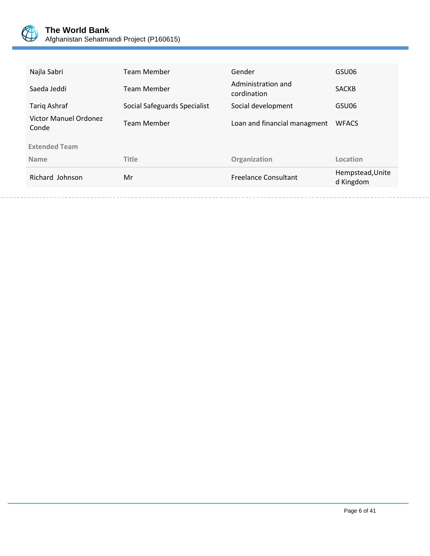

| Najla Sabri                           | Team Member                  | Gender                            | GSU06                         |
|---------------------------------------|------------------------------|-----------------------------------|-------------------------------|
| Saeda Jeddi                           | <b>Team Member</b>           | Administration and<br>cordination | <b>SACKB</b>                  |
| Tarig Ashraf                          | Social Safeguards Specialist | Social development                | GSU06                         |
| <b>Victor Manuel Ordonez</b><br>Conde | Team Member                  | Loan and financial managment      | <b>WFACS</b>                  |
| <b>Extended Team</b>                  |                              |                                   |                               |
| <b>Name</b>                           | <b>Title</b>                 | Organization                      | Location                      |
| Richard Johnson                       | Mr                           | <b>Freelance Consultant</b>       | Hempstead, Unite<br>d Kingdom |
|                                       |                              |                                   |                               |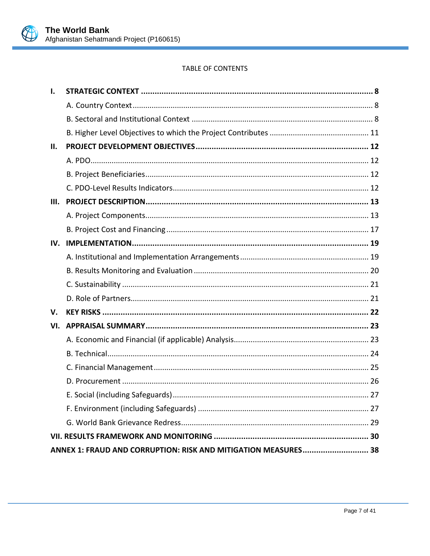

# TABLE OF CONTENTS

| 1.  |                                                                |  |
|-----|----------------------------------------------------------------|--|
|     |                                                                |  |
|     |                                                                |  |
|     |                                                                |  |
| П.  |                                                                |  |
|     |                                                                |  |
|     |                                                                |  |
|     |                                                                |  |
| Ш.  |                                                                |  |
|     |                                                                |  |
|     |                                                                |  |
| IV. |                                                                |  |
|     |                                                                |  |
|     |                                                                |  |
|     |                                                                |  |
|     |                                                                |  |
| V.  |                                                                |  |
| VI. |                                                                |  |
|     |                                                                |  |
|     |                                                                |  |
|     |                                                                |  |
|     |                                                                |  |
|     |                                                                |  |
|     |                                                                |  |
|     |                                                                |  |
|     |                                                                |  |
|     | ANNEX 1: FRAUD AND CORRUPTION: RISK AND MITIGATION MEASURES 38 |  |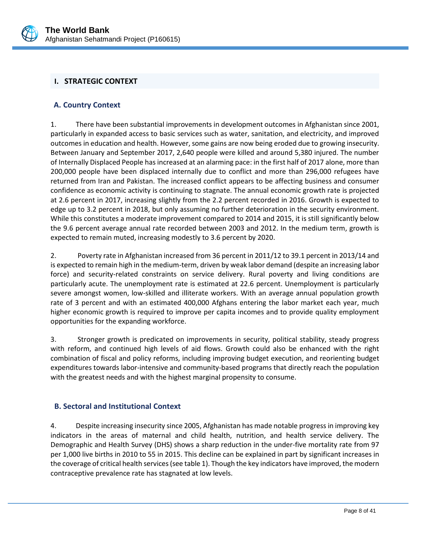

# <span id="page-10-0"></span>**I. STRATEGIC CONTEXT**

### <span id="page-10-1"></span>**A. Country Context**

1. There have been substantial improvements in development outcomes in Afghanistan since 2001, particularly in expanded access to basic services such as water, sanitation, and electricity, and improved outcomes in education and health. However, some gains are now being eroded due to growing insecurity. Between January and September 2017, 2,640 people were killed and around 5,380 injured. The number of Internally Displaced People has increased at an alarming pace: in the first half of 2017 alone, more than 200,000 people have been displaced internally due to conflict and more than 296,000 refugees have returned from Iran and Pakistan. The increased conflict appears to be affecting business and consumer confidence as economic activity is continuing to stagnate. The annual economic growth rate is projected at 2.6 percent in 2017, increasing slightly from the 2.2 percent recorded in 2016. Growth is expected to edge up to 3.2 percent in 2018, but only assuming no further deterioration in the security environment. While this constitutes a moderate improvement compared to 2014 and 2015, it is still significantly below the 9.6 percent average annual rate recorded between 2003 and 2012. In the medium term, growth is expected to remain muted, increasing modestly to 3.6 percent by 2020.

2. Poverty rate in Afghanistan increased from 36 percent in 2011/12 to 39.1 percent in 2013/14 and is expected to remain high in the medium-term, driven by weak labor demand (despite an increasing labor force) and security-related constraints on service delivery. Rural poverty and living conditions are particularly acute. The unemployment rate is estimated at 22.6 percent. Unemployment is particularly severe amongst women, low-skilled and illiterate workers. With an average annual population growth rate of 3 percent and with an estimated 400,000 Afghans entering the labor market each year, much higher economic growth is required to improve per capita incomes and to provide quality employment opportunities for the expanding workforce.

3. Stronger growth is predicated on improvements in security, political stability, steady progress with reform, and continued high levels of aid flows. Growth could also be enhanced with the right combination of fiscal and policy reforms, including improving budget execution, and reorienting budget expenditures towards labor-intensive and community-based programs that directly reach the population with the greatest needs and with the highest marginal propensity to consume.

## <span id="page-10-2"></span>**B. Sectoral and Institutional Context**

4. Despite increasing insecurity since 2005, Afghanistan has made notable progress in improving key indicators in the areas of maternal and child health, nutrition, and health service delivery. The Demographic and Health Survey (DHS) shows a sharp reduction in the under-five mortality rate from 97 per 1,000 live births in 2010 to 55 in 2015. This decline can be explained in part by significant increases in the coverage of critical health services (see table 1). Though the key indicators have improved, the modern contraceptive prevalence rate has stagnated at low levels.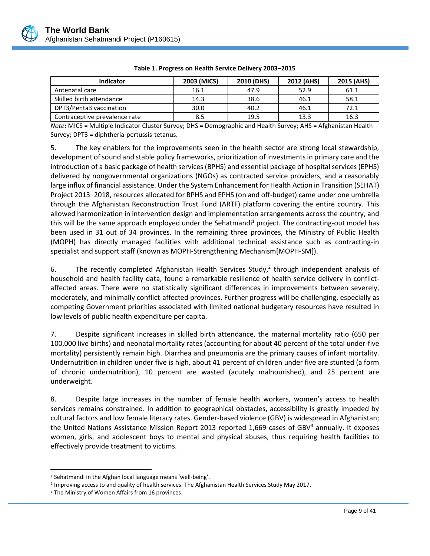

| <b>Indicator</b>              | 2003 (MICS) | 2010 (DHS) | 2012 (AHS) | 2015 (AHS) |
|-------------------------------|-------------|------------|------------|------------|
| Antenatal care                | 16.1        | 47.9       | 52.9       | 61.1       |
| Skilled birth attendance      | 14.3        | 38.6       | 46.1       | 58.1       |
| DPT3/Penta3 vaccination       | 30.0        | 40.2       | 46.1       | 72.1       |
| Contraceptive prevalence rate | 8.5         | 19.5       | 13.3       | 16.3       |

| Table 1. Progress on Health Service Delivery 2003-2015 |  |  |
|--------------------------------------------------------|--|--|
|                                                        |  |  |

*Note***:** MICS = Multiple Indicator Cluster Survey; DHS = Demographic and Health Survey; AHS = Afghanistan Health Survey; DPT3 = diphtheria-pertussis-tetanus.

5. The key enablers for the improvements seen in the health sector are strong local stewardship, development of sound and stable policy frameworks, prioritization of investments in primary care and the introduction of a basic package of health services (BPHS) and essential package of hospital services (EPHS) delivered by nongovernmental organizations (NGOs) as contracted service providers, and a reasonably large influx of financial assistance. Under the System Enhancement for Health Action in Transition (SEHAT) Project 2013–2018, resources allocated for BPHS and EPHS (on and off-budget) came under one umbrella through the Afghanistan Reconstruction Trust Fund (ARTF) platform covering the entire country. This allowed harmonization in intervention design and implementation arrangements across the country, and this will be the same approach employed under the Sehatmandi<sup>1</sup> project. The contracting-out model has been used in 31 out of 34 provinces. In the remaining three provinces, the Ministry of Public Health (MOPH) has directly managed facilities with additional technical assistance such as contracting-in specialist and support staff (known as MOPH-Strengthening Mechanism[MOPH-SM]).

6. The recently completed Afghanistan Health Services Study, $2$  through independent analysis of household and health facility data, found a remarkable resilience of health service delivery in conflictaffected areas. There were no statistically significant differences in improvements between severely, moderately, and minimally conflict-affected provinces. Further progress will be challenging, especially as competing Government priorities associated with limited national budgetary resources have resulted in low levels of public health expenditure per capita.

7. Despite significant increases in skilled birth attendance, the maternal mortality ratio (650 per 100,000 live births) and neonatal mortality rates (accounting for about 40 percent of the total under-five mortality) persistently remain high. Diarrhea and pneumonia are the primary causes of infant mortality. Undernutrition in children under five is high, about 41 percent of children under five are stunted (a form of chronic undernutrition), 10 percent are wasted (acutely malnourished), and 25 percent are underweight.

8. Despite large increases in the number of female health workers, women's access to health services remains constrained. In addition to geographical obstacles, accessibility is greatly impeded by cultural factors and low female literacy rates. Gender-based violence (GBV) is widespread in Afghanistan; the United Nations Assistance Mission Report 2013 reported 1,669 cases of GBV $^3$  annually. It exposes women, girls, and adolescent boys to mental and physical abuses, thus requiring health facilities to effectively provide treatment to victims.

 $\overline{a}$ 

<sup>1</sup> Sehatmandi in the Afghan local language means 'well-being'.

<sup>&</sup>lt;sup>2</sup> Improving access to and quality of health services: The Afghanistan Health Services Study May 2017.

<sup>&</sup>lt;sup>3</sup> The Ministry of Women Affairs from 16 provinces.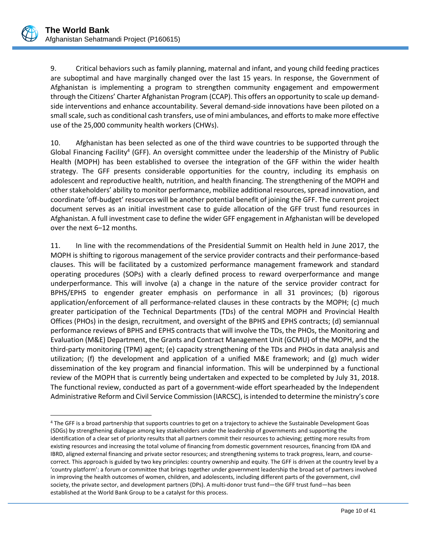$\overline{a}$ 

9. Critical behaviors such as family planning, maternal and infant, and young child feeding practices are suboptimal and have marginally changed over the last 15 years. In response, the Government of Afghanistan is implementing a program to strengthen community engagement and empowerment through the Citizens' Charter Afghanistan Program (CCAP). This offers an opportunity to scale up demandside interventions and enhance accountability. Several demand-side innovations have been piloted on a small scale, such as conditional cash transfers, use of mini ambulances, and efforts to make more effective use of the 25,000 community health workers (CHWs).

10. Afghanistan has been selected as one of the third wave countries to be supported through the Global Financing Facility<sup>4</sup> (GFF). An oversight committee under the leadership of the Ministry of Public Health (MOPH) has been established to oversee the integration of the GFF within the wider health strategy. The GFF presents considerable opportunities for the country, including its emphasis on adolescent and reproductive health, nutrition, and health financing. The strengthening of the MOPH and other stakeholders' ability to monitor performance, mobilize additional resources, spread innovation, and coordinate 'off-budget' resources will be another potential benefit of joining the GFF. The current project document serves as an initial investment case to guide allocation of the GFF trust fund resources in Afghanistan. A full investment case to define the wider GFF engagement in Afghanistan will be developed over the next 6–12 months.

11. In line with the recommendations of the Presidential Summit on Health held in June 2017, the MOPH is shifting to rigorous management of the service provider contracts and their performance-based clauses. This will be facilitated by a customized performance management framework and standard operating procedures (SOPs) with a clearly defined process to reward overperformance and mange underperformance. This will involve (a) a change in the nature of the service provider contract for BPHS/EPHS to engender greater emphasis on performance in all 31 provinces; (b) rigorous application/enforcement of all performance-related clauses in these contracts by the MOPH; (c) much greater participation of the Technical Departments (TDs) of the central MOPH and Provincial Health Offices (PHOs) in the design, recruitment, and oversight of the BPHS and EPHS contracts; (d) semiannual performance reviews of BPHS and EPHS contracts that will involve the TDs, the PHOs, the Monitoring and Evaluation (M&E) Department, the Grants and Contract Management Unit (GCMU) of the MOPH, and the third-party monitoring (TPM) agent; (e) capacity strengthening of the TDs and PHOs in data analysis and utilization; (f) the development and application of a unified M&E framework; and (g) much wider dissemination of the key program and financial information. This will be underpinned by a functional review of the MOPH that is currently being undertaken and expected to be completed by July 31, 2018. The functional review, conducted as part of a government-wide effort spearheaded by the Independent Administrative Reform and Civil Service Commission (IARCSC), is intended to determine the ministry's core

<sup>4</sup> The GFF is a broad partnership that supports countries to get on a trajectory to achieve the Sustainable Development Goas (SDGs) by strengthening dialogue among key stakeholders under the leadership of governments and supporting the identification of a clear set of priority results that all partners commit their resources to achieving; getting more results from existing resources and increasing the total volume of financing from domestic government resources, financing from IDA and IBRD, aligned external financing and private sector resources; and strengthening systems to track progress, learn, and coursecorrect. This approach is guided by two key principles: country ownership and equity. The GFF is driven at the country level by a 'country platform': a forum or committee that brings together under government leadership the broad set of partners involved in improving the health outcomes of women, children, and adolescents, including different parts of the government, civil society, the private sector, and development partners (DPs). A multi-donor trust fund—the GFF trust fund—has been established at the World Bank Group to be a catalyst for this process.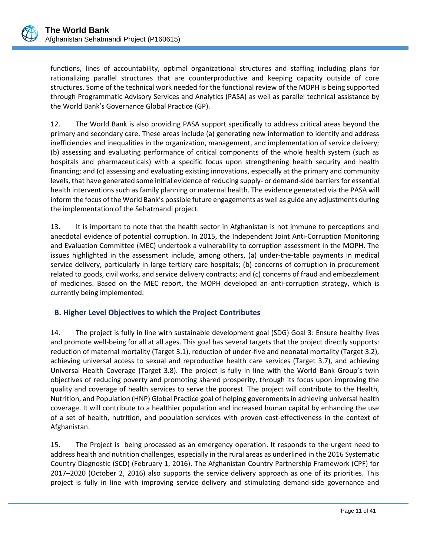functions, lines of accountability, optimal organizational structures and staffing including plans for rationalizing parallel structures that are counterproductive and keeping capacity outside of core structures. Some of the technical work needed for the functional review of the MOPH is being supported through Programmatic Advisory Services and Analytics (PASA) as well as parallel technical assistance by the World Bank's Governance Global Practice (GP).

12. The World Bank is also providing PASA support specifically to address critical areas beyond the primary and secondary care. These areas include (a) generating new information to identify and address inefficiencies and inequalities in the organization, management, and implementation of service delivery; (b) assessing and evaluating performance of critical components of the whole health system (such as hospitals and pharmaceuticals) with a specific focus upon strengthening health security and health financing; and (c) assessing and evaluating existing innovations, especially at the primary and community levels, that have generated some initial evidence of reducing supply- or demand-side barriers for essential health interventions such as family planning or maternal health. The evidence generated via the PASA will inform the focus ofthe World Bank's possible future engagements as well as guide any adjustments during the implementation of the Sehatmandi project.

13. It is important to note that the health sector in Afghanistan is not immune to perceptions and anecdotal evidence of potential corruption. In 2015, the Independent Joint Anti-Corruption Monitoring and Evaluation Committee (MEC) undertook a vulnerability to corruption assessment in the MOPH. The issues highlighted in the assessment include, among others, (a) under-the-table payments in medical service delivery, particularly in large tertiary care hospitals; (b) concerns of corruption in procurement related to goods, civil works, and service delivery contracts; and (c) concerns of fraud and embezzlement of medicines. Based on the MEC report, the MOPH developed an anti-corruption strategy, which is currently being implemented.

## <span id="page-13-0"></span>**B. Higher Level Objectives to which the Project Contributes**

14. The project is fully in line with sustainable development goal (SDG) Goal 3: Ensure healthy lives and promote well-being for all at all ages. This goal has several targets that the project directly supports: reduction of maternal mortality (Target 3.1), reduction of under-five and neonatal mortality (Target 3.2), achieving universal access to sexual and reproductive health care services (Target 3.7), and achieving Universal Health Coverage (Target 3.8). The project is fully in line with the World Bank Group's twin objectives of reducing poverty and promoting shared prosperity, through its focus upon improving the quality and coverage of health services to serve the poorest. The project will contribute to the Health, Nutrition, and Population (HNP) Global Practice goal of helping governments in achieving universal health coverage. It will contribute to a healthier population and increased human capital by enhancing the use of a set of health, nutrition, and population services with proven cost-effectiveness in the context of Afghanistan.

15. The Project is being processed as an emergency operation. It responds to the urgent need to address health and nutrition challenges, especially in the rural areas as underlined in the 2016 Systematic Country Diagnostic (SCD) (February 1, 2016). The Afghanistan Country Partnership Framework (CPF) for 2017–2020 (October 2, 2016) also supports the service delivery approach as one of its priorities. This project is fully in line with improving service delivery and stimulating demand-side governance and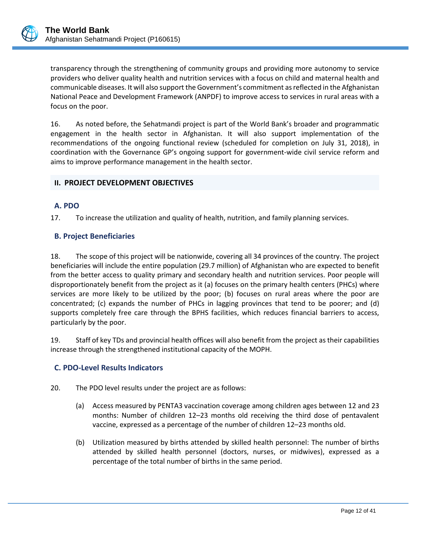

transparency through the strengthening of community groups and providing more autonomy to service providers who deliver quality health and nutrition services with a focus on child and maternal health and communicable diseases. It will also support the Government's commitment as reflected in the Afghanistan National Peace and Development Framework (ANPDF) to improve access to services in rural areas with a focus on the poor.

16. As noted before, the Sehatmandi project is part of the World Bank's broader and programmatic engagement in the health sector in Afghanistan. It will also support implementation of the recommendations of the ongoing functional review (scheduled for completion on July 31, 2018), in coordination with the Governance GP's ongoing support for government-wide civil service reform and aims to improve performance management in the health sector.

## <span id="page-14-0"></span>**II. PROJECT DEVELOPMENT OBJECTIVES**

## <span id="page-14-1"></span>**A. PDO**

17. To increase the utilization and quality of health, nutrition, and family planning services.

### <span id="page-14-2"></span>**B. Project Beneficiaries**

18. The scope of this project will be nationwide, covering all 34 provinces of the country. The project beneficiaries will include the entire population (29.7 million) of Afghanistan who are expected to benefit from the better access to quality primary and secondary health and nutrition services. Poor people will disproportionately benefit from the project as it (a) focuses on the primary health centers (PHCs) where services are more likely to be utilized by the poor; (b) focuses on rural areas where the poor are concentrated; (c) expands the number of PHCs in lagging provinces that tend to be poorer; and (d) supports completely free care through the BPHS facilities, which reduces financial barriers to access, particularly by the poor.

19. Staff of key TDs and provincial health offices will also benefit from the project as their capabilities increase through the strengthened institutional capacity of the MOPH.

## <span id="page-14-3"></span>**C. PDO-Level Results Indicators**

- 20. The PDO level results under the project are as follows:
	- (a) Access measured by PENTA3 vaccination coverage among children ages between 12 and 23 months: Number of children 12–23 months old receiving the third dose of pentavalent vaccine, expressed as a percentage of the number of children 12–23 months old.
	- (b) Utilization measured by births attended by skilled health personnel: The number of births attended by skilled health personnel (doctors, nurses, or midwives), expressed as a percentage of the total number of births in the same period.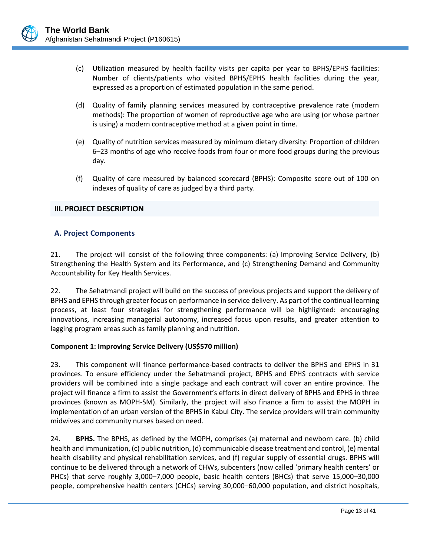- (c) Utilization measured by health facility visits per capita per year to BPHS/EPHS facilities: Number of clients/patients who visited BPHS/EPHS health facilities during the year, expressed as a proportion of estimated population in the same period.
- (d) Quality of family planning services measured by contraceptive prevalence rate (modern methods): The proportion of women of reproductive age who are using (or whose partner is using) a modern contraceptive method at a given point in time.
- (e) Quality of nutrition services measured by minimum dietary diversity: Proportion of children 6–23 months of age who receive foods from four or more food groups during the previous day.
- (f) Quality of care measured by balanced scorecard (BPHS): Composite score out of 100 on indexes of quality of care as judged by a third party.

### <span id="page-15-0"></span>**III. PROJECT DESCRIPTION**

## <span id="page-15-1"></span>**A. Project Components**

21. The project will consist of the following three components: (a) Improving Service Delivery, (b) Strengthening the Health System and its Performance, and (c) Strengthening Demand and Community Accountability for Key Health Services.

22. The Sehatmandi project will build on the success of previous projects and support the delivery of BPHS and EPHS through greater focus on performance in service delivery. As part of the continual learning process, at least four strategies for strengthening performance will be highlighted: encouraging innovations, increasing managerial autonomy, increased focus upon results, and greater attention to lagging program areas such as family planning and nutrition.

#### **Component 1: Improving Service Delivery (US\$570 million)**

23. This component will finance performance-based contracts to deliver the BPHS and EPHS in 31 provinces. To ensure efficiency under the Sehatmandi project, BPHS and EPHS contracts with service providers will be combined into a single package and each contract will cover an entire province. The project will finance a firm to assist the Government's efforts in direct delivery of BPHS and EPHS in three provinces (known as MOPH-SM). Similarly, the project will also finance a firm to assist the MOPH in implementation of an urban version of the BPHS in Kabul City. The service providers will train community midwives and community nurses based on need.

24. **BPHS.** The BPHS, as defined by the MOPH, comprises (a) maternal and newborn care. (b) child health and immunization, (c) public nutrition, (d) communicable disease treatment and control, (e) mental health disability and physical rehabilitation services, and (f) regular supply of essential drugs. BPHS will continue to be delivered through a network of CHWs, subcenters (now called 'primary health centers' or PHCs) that serve roughly 3,000–7,000 people, basic health centers (BHCs) that serve 15,000–30,000 people, comprehensive health centers (CHCs) serving 30,000–60,000 population, and district hospitals,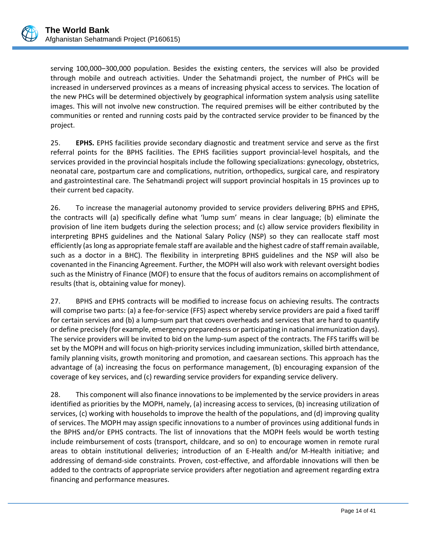

serving 100,000–300,000 population. Besides the existing centers, the services will also be provided through mobile and outreach activities. Under the Sehatmandi project, the number of PHCs will be increased in underserved provinces as a means of increasing physical access to services. The location of the new PHCs will be determined objectively by geographical information system analysis using satellite images. This will not involve new construction. The required premises will be either contributed by the communities or rented and running costs paid by the contracted service provider to be financed by the project.

25. **EPHS.** EPHS facilities provide secondary diagnostic and treatment service and serve as the first referral points for the BPHS facilities. The EPHS facilities support provincial-level hospitals, and the services provided in the provincial hospitals include the following specializations: gynecology, obstetrics, neonatal care, postpartum care and complications, nutrition, orthopedics, surgical care, and respiratory and gastrointestinal care. The Sehatmandi project will support provincial hospitals in 15 provinces up to their current bed capacity.

26. To increase the managerial autonomy provided to service providers delivering BPHS and EPHS, the contracts will (a) specifically define what 'lump sum' means in clear language; (b) eliminate the provision of line item budgets during the selection process; and (c) allow service providers flexibility in interpreting BPHS guidelines and the National Salary Policy (NSP) so they can reallocate staff most efficiently (as long as appropriate female staff are available and the highest cadre of staff remain available, such as a doctor in a BHC). The flexibility in interpreting BPHS guidelines and the NSP will also be covenanted in the Financing Agreement. Further, the MOPH will also work with relevant oversight bodies such as the Ministry of Finance (MOF) to ensure that the focus of auditors remains on accomplishment of results (that is, obtaining value for money).

27. BPHS and EPHS contracts will be modified to increase focus on achieving results. The contracts will comprise two parts: (a) a fee-for-service (FFS) aspect whereby service providers are paid a fixed tariff for certain services and (b) a lump-sum part that covers overheads and services that are hard to quantify or define precisely (for example, emergency preparedness or participating in national immunization days). The service providers will be invited to bid on the lump-sum aspect of the contracts. The FFS tariffs will be set by the MOPH and will focus on high-priority services including immunization, skilled birth attendance, family planning visits, growth monitoring and promotion, and caesarean sections. This approach has the advantage of (a) increasing the focus on performance management, (b) encouraging expansion of the coverage of key services, and (c) rewarding service providers for expanding service delivery.

28. This component will also finance innovations to be implemented by the service providers in areas identified as priorities by the MOPH, namely, (a) increasing access to services, (b) increasing utilization of services, (c) working with households to improve the health of the populations, and (d) improving quality of services. The MOPH may assign specific innovations to a number of provinces using additional funds in the BPHS and/or EPHS contracts. The list of innovations that the MOPH feels would be worth testing include reimbursement of costs (transport, childcare, and so on) to encourage women in remote rural areas to obtain institutional deliveries; introduction of an E-Health and/or M-Health initiative; and addressing of demand-side constraints. Proven, cost-effective, and affordable innovations will then be added to the contracts of appropriate service providers after negotiation and agreement regarding extra financing and performance measures.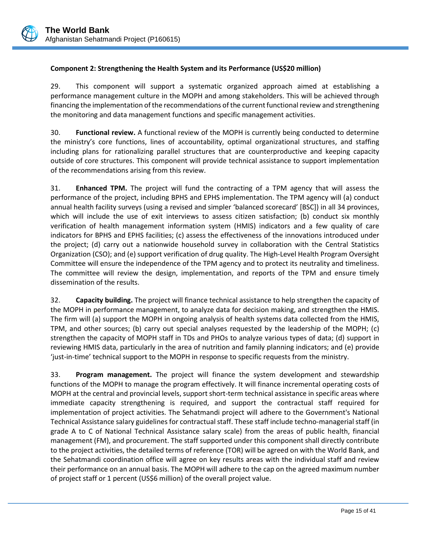### **Component 2: Strengthening the Health System and its Performance (US\$20 million)**

29. This component will support a systematic organized approach aimed at establishing a performance management culture in the MOPH and among stakeholders. This will be achieved through financing the implementation of the recommendations of the current functional review and strengthening the monitoring and data management functions and specific management activities.

30. **Functional review.** A functional review of the MOPH is currently being conducted to determine the ministry's core functions, lines of accountability, optimal organizational structures, and staffing including plans for rationalizing parallel structures that are counterproductive and keeping capacity outside of core structures. This component will provide technical assistance to support implementation of the recommendations arising from this review.

31. **Enhanced TPM.** The project will fund the contracting of a TPM agency that will assess the performance of the project, including BPHS and EPHS implementation. The TPM agency will (a) conduct annual health facility surveys (using a revised and simpler 'balanced scorecard' [BSC]) in all 34 provinces, which will include the use of exit interviews to assess citizen satisfaction; (b) conduct six monthly verification of health management information system (HMIS) indicators and a few quality of care indicators for BPHS and EPHS facilities; (c) assess the effectiveness of the innovations introduced under the project; (d) carry out a nationwide household survey in collaboration with the Central Statistics Organization (CSO); and (e) support verification of drug quality. The High-Level Health Program Oversight Committee will ensure the independence of the TPM agency and to protect its neutrality and timeliness. The committee will review the design, implementation, and reports of the TPM and ensure timely dissemination of the results.

32. **Capacity building.** The project will finance technical assistance to help strengthen the capacity of the MOPH in performance management, to analyze data for decision making, and strengthen the HMIS. The firm will (a) support the MOPH in ongoing analysis of health systems data collected from the HMIS, TPM, and other sources; (b) carry out special analyses requested by the leadership of the MOPH; (c) strengthen the capacity of MOPH staff in TDs and PHOs to analyze various types of data; (d) support in reviewing HMIS data, particularly in the area of nutrition and family planning indicators; and (e) provide 'just-in-time' technical support to the MOPH in response to specific requests from the ministry.

33. **Program management.** The project will finance the system development and stewardship functions of the MOPH to manage the program effectively. It will finance incremental operating costs of MOPH at the central and provincial levels, support short-term technical assistance in specific areas where immediate capacity strengthening is required, and support the contractual staff required for implementation of project activities. The Sehatmandi project will adhere to the Government's National Technical Assistance salary guidelines for contractual staff. These staff include techno-managerial staff (in grade A to C of National Technical Assistance salary scale) from the areas of public health, financial management (FM), and procurement. The staff supported under this component shall directly contribute to the project activities, the detailed terms of reference (TOR) will be agreed on with the World Bank, and the Sehatmandi coordination office will agree on key results areas with the individual staff and review their performance on an annual basis. The MOPH will adhere to the cap on the agreed maximum number of project staff or 1 percent (US\$6 million) of the overall project value.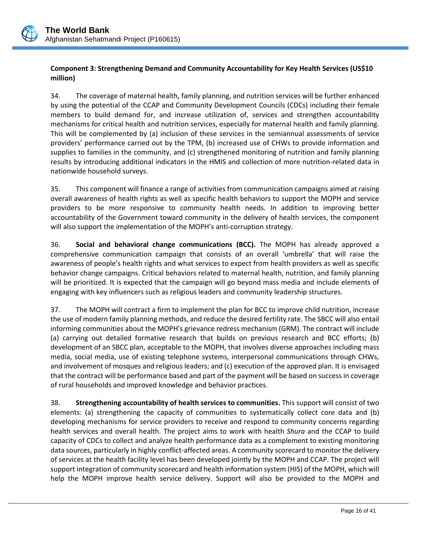

### **Component 3: Strengthening Demand and Community Accountability for Key Health Services (US\$10 million)**

34. The coverage of maternal health, family planning, and nutrition services will be further enhanced by using the potential of the CCAP and Community Development Councils (CDCs) including their female members to build demand for, and increase utilization of, services and strengthen accountability mechanisms for critical health and nutrition services, especially for maternal health and family planning. This will be complemented by (a) inclusion of these services in the semiannual assessments of service providers' performance carried out by the TPM, (b) increased use of CHWs to provide information and supplies to families in the community, and (c) strengthened monitoring of nutrition and family planning results by introducing additional indicators in the HMIS and collection of more nutrition-related data in nationwide household surveys.

35. This component will finance a range of activities from communication campaigns aimed at raising overall awareness of health rights as well as specific health behaviors to support the MOPH and service providers to be more responsive to community health needs. In addition to improving better accountability of the Government toward community in the delivery of health services, the component will also support the implementation of the MOPH's anti-corruption strategy.

36. **Social and behavioral change communications (BCC).** The MOPH has already approved a comprehensive communication campaign that consists of an overall 'umbrella' that will raise the awareness of people's health rights and what services to expect from health providers as well as specific behavior change campaigns. Critical behaviors related to maternal health, nutrition, and family planning will be prioritized. It is expected that the campaign will go beyond mass media and include elements of engaging with key influencers such as religious leaders and community leadership structures.

37. The MOPH will contract a firm to implement the plan for BCC to improve child nutrition, increase the use of modern family planning methods, and reduce the desired fertility rate. The SBCC will also entail informing communities about the MOPH's grievance redress mechanism (GRM). The contract will include (a) carrying out detailed formative research that builds on previous research and BCC efforts; (b) development of an SBCC plan, acceptable to the MOPH, that involves diverse approaches including mass media, social media, use of existing telephone systems, interpersonal communications through CHWs, and involvement of mosques and religious leaders; and (c) execution of the approved plan. It is envisaged that the contract will be performance based and part of the payment will be based on success in coverage of rural households and improved knowledge and behavior practices.

38. **Strengthening accountability of health services to communities.** This support will consist of two elements: (a) strengthening the capacity of communities to systematically collect core data and (b) developing mechanisms for service providers to receive and respond to community concerns regarding health services and overall health. The project aims to work with health *Shura* and the CCAP to build capacity of CDCs to collect and analyze health performance data as a complement to existing monitoring data sources, particularly in highly conflict-affected areas. A community scorecard to monitor the delivery of services at the health facility level has been developed jointly by the MOPH and CCAP. The project will support integration of community scorecard and health information system (HIS) of the MOPH, which will help the MOPH improve health service delivery. Support will also be provided to the MOPH and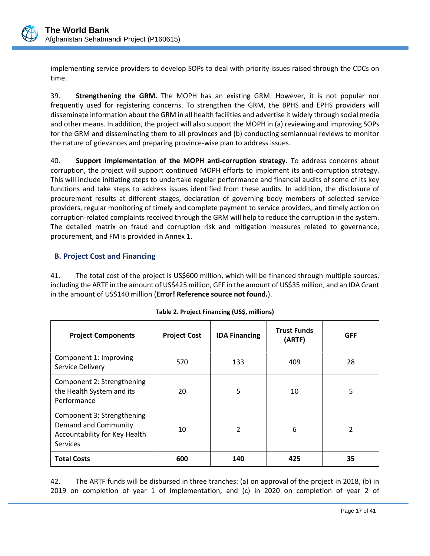

implementing service providers to develop SOPs to deal with priority issues raised through the CDCs on time.

39. **Strengthening the GRM.** The MOPH has an existing GRM. However, it is not popular nor frequently used for registering concerns. To strengthen the GRM, the BPHS and EPHS providers will disseminate information about the GRM in all health facilities and advertise it widely through social media and other means. In addition, the project will also support the MOPH in (a) reviewing and improving SOPs for the GRM and disseminating them to all provinces and (b) conducting semiannual reviews to monitor the nature of grievances and preparing province-wise plan to address issues.

40. **Support implementation of the MOPH anti-corruption strategy.** To address concerns about corruption, the project will support continued MOPH efforts to implement its anti-corruption strategy. This will include initiating steps to undertake regular performance and financial audits of some of its key functions and take steps to address issues identified from these audits. In addition, the disclosure of procurement results at different stages, declaration of governing body members of selected service providers, regular monitoring of timely and complete payment to service providers, and timely action on corruption-related complaints received through the GRM will help to reduce the corruption in the system. The detailed matrix on fraud and corruption risk and mitigation measures related to governance, procurement, and FM is provided in Annex 1.

## <span id="page-19-0"></span>**B. Project Cost and Financing**

41. The total cost of the project is US\$600 million, which will be financed through multiple sources, including the ARTF in the amount of US\$425 million, GFF in the amount of US\$35 million, and an IDA Grant in the amount of US\$140 million (**Error! Reference source not found.**).

| <b>Project Components</b>                                                                              | <b>Project Cost</b> | <b>IDA Financing</b> | <b>Trust Funds</b><br>(ARTF) | <b>GFF</b> |
|--------------------------------------------------------------------------------------------------------|---------------------|----------------------|------------------------------|------------|
| Component 1: Improving<br>Service Delivery                                                             | 570                 | 133                  | 409                          | 28         |
| Component 2: Strengthening<br>the Health System and its<br>Performance                                 | 20                  | 5                    | 10                           | 5          |
| Component 3: Strengthening<br>Demand and Community<br>Accountability for Key Health<br><b>Services</b> | 10                  | $\overline{2}$       | 6                            | 2          |
| <b>Total Costs</b>                                                                                     | 600                 | 140                  | 425                          | 35         |

| Table 2. Project Financing (US\$, millions) |  |  |  |
|---------------------------------------------|--|--|--|
|---------------------------------------------|--|--|--|

42. The ARTF funds will be disbursed in three tranches: (a) on approval of the project in 2018, (b) in 2019 on completion of year 1 of implementation, and (c) in 2020 on completion of year 2 of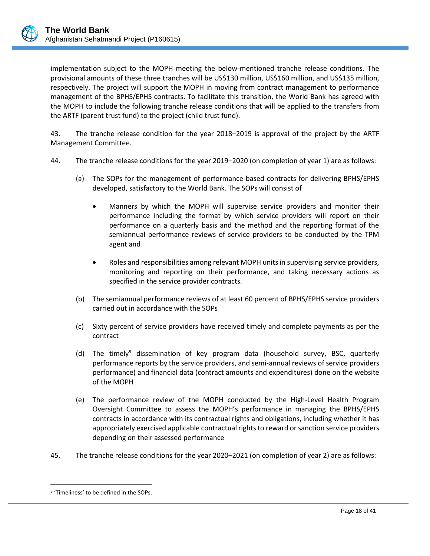implementation subject to the MOPH meeting the below-mentioned tranche release conditions. The provisional amounts of these three tranches will be US\$130 million, US\$160 million, and US\$135 million, respectively. The project will support the MOPH in moving from contract management to performance management of the BPHS/EPHS contracts. To facilitate this transition, the World Bank has agreed with the MOPH to include the following tranche release conditions that will be applied to the transfers from the ARTF (parent trust fund) to the project (child trust fund).

43. The tranche release condition for the year 2018–2019 is approval of the project by the ARTF Management Committee.

- 44. The tranche release conditions for the year 2019–2020 (on completion of year 1) are as follows:
	- (a) The SOPs for the management of performance-based contracts for delivering BPHS/EPHS developed, satisfactory to the World Bank. The SOPs will consist of
		- Manners by which the MOPH will supervise service providers and monitor their performance including the format by which service providers will report on their performance on a quarterly basis and the method and the reporting format of the semiannual performance reviews of service providers to be conducted by the TPM agent and
		- Roles and responsibilities among relevant MOPH units in supervising service providers, monitoring and reporting on their performance, and taking necessary actions as specified in the service provider contracts.
	- (b) The semiannual performance reviews of at least 60 percent of BPHS/EPHS service providers carried out in accordance with the SOPs
	- (c) Sixty percent of service providers have received timely and complete payments as per the contract
	- (d) The timely<sup>5</sup> dissemination of key program data (household survey, BSC, quarterly performance reports by the service providers, and semi-annual reviews of service providers performance) and financial data (contract amounts and expenditures) done on the website of the MOPH
	- (e) The performance review of the MOPH conducted by the High-Level Health Program Oversight Committee to assess the MOPH's performance in managing the BPHS/EPHS contracts in accordance with its contractual rights and obligations, including whether it has appropriately exercised applicable contractual rights to reward or sanction service providers depending on their assessed performance
- 45. The tranche release conditions for the year 2020–2021 (on completion of year 2) are as follows:

 $\overline{a}$ 

<sup>5</sup> 'Timeliness' to be defined in the SOPs.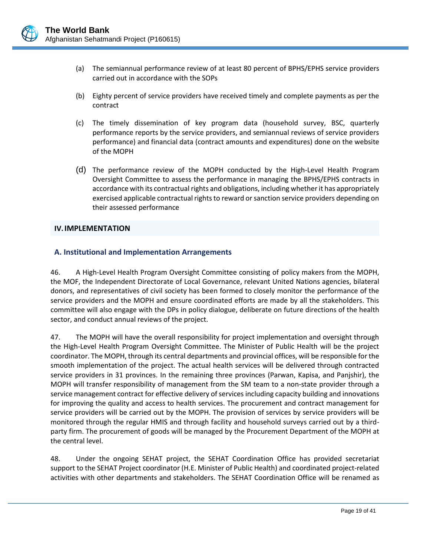

- (a) The semiannual performance review of at least 80 percent of BPHS/EPHS service providers carried out in accordance with the SOPs
- (b) Eighty percent of service providers have received timely and complete payments as per the contract
- (c) The timely dissemination of key program data (household survey, BSC, quarterly performance reports by the service providers, and semiannual reviews of service providers performance) and financial data (contract amounts and expenditures) done on the website of the MOPH
- (d) The performance review of the MOPH conducted by the High-Level Health Program Oversight Committee to assess the performance in managing the BPHS/EPHS contracts in accordance with its contractual rights and obligations, including whether it has appropriately exercised applicable contractual rights to reward or sanction service providers depending on their assessed performance

### <span id="page-21-0"></span>**IV.IMPLEMENTATION**

### <span id="page-21-1"></span>**A. Institutional and Implementation Arrangements**

46. A High-Level Health Program Oversight Committee consisting of policy makers from the MOPH, the MOF, the Independent Directorate of Local Governance, relevant United Nations agencies, bilateral donors, and representatives of civil society has been formed to closely monitor the performance of the service providers and the MOPH and ensure coordinated efforts are made by all the stakeholders. This committee will also engage with the DPs in policy dialogue, deliberate on future directions of the health sector, and conduct annual reviews of the project.

47. The MOPH will have the overall responsibility for project implementation and oversight through the High-Level Health Program Oversight Committee. The Minister of Public Health will be the project coordinator. The MOPH, through its central departments and provincial offices, will be responsible for the smooth implementation of the project. The actual health services will be delivered through contracted service providers in 31 provinces. In the remaining three provinces (Parwan, Kapisa, and Panjshir), the MOPH will transfer responsibility of management from the SM team to a non-state provider through a service management contract for effective delivery of services including capacity building and innovations for improving the quality and access to health services. The procurement and contract management for service providers will be carried out by the MOPH. The provision of services by service providers will be monitored through the regular HMIS and through facility and household surveys carried out by a thirdparty firm. The procurement of goods will be managed by the Procurement Department of the MOPH at the central level.

48. Under the ongoing SEHAT project, the SEHAT Coordination Office has provided secretariat support to the SEHAT Project coordinator (H.E. Minister of Public Health) and coordinated project-related activities with other departments and stakeholders. The SEHAT Coordination Office will be renamed as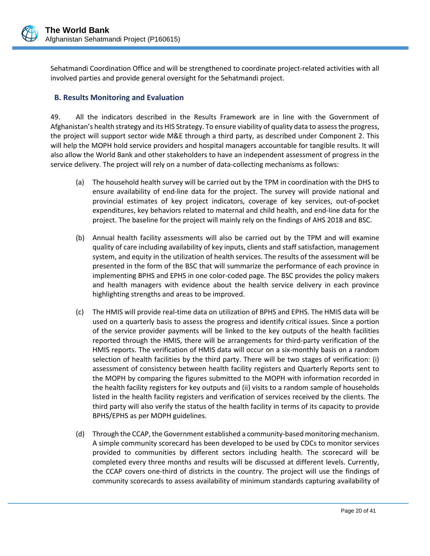

Sehatmandi Coordination Office and will be strengthened to coordinate project-related activities with all involved parties and provide general oversight for the Sehatmandi project.

# <span id="page-22-0"></span>**B. Results Monitoring and Evaluation**

49. All the indicators described in the Results Framework are in line with the Government of Afghanistan's health strategy and its HIS Strategy. To ensure viability of quality data to assess the progress, the project will support sector wide M&E through a third party, as described under Component 2. This will help the MOPH hold service providers and hospital managers accountable for tangible results. It will also allow the World Bank and other stakeholders to have an independent assessment of progress in the service delivery. The project will rely on a number of data-collecting mechanisms as follows:

- (a) The household health survey will be carried out by the TPM in coordination with the DHS to ensure availability of end-line data for the project. The survey will provide national and provincial estimates of key project indicators, coverage of key services, out-of-pocket expenditures, key behaviors related to maternal and child health, and end-line data for the project. The baseline for the project will mainly rely on the findings of AHS 2018 and BSC.
- (b) Annual health facility assessments will also be carried out by the TPM and will examine quality of care including availability of key inputs, clients and staff satisfaction, management system, and equity in the utilization of health services. The results of the assessment will be presented in the form of the BSC that will summarize the performance of each province in implementing BPHS and EPHS in one color-coded page. The BSC provides the policy makers and health managers with evidence about the health service delivery in each province highlighting strengths and areas to be improved.
- (c) The HMIS will provide real-time data on utilization of BPHS and EPHS. The HMIS data will be used on a quarterly basis to assess the progress and identify critical issues. Since a portion of the service provider payments will be linked to the key outputs of the health facilities reported through the HMIS, there will be arrangements for third-party verification of the HMIS reports. The verification of HMIS data will occur on a six-monthly basis on a random selection of health facilities by the third party. There will be two stages of verification: (i) assessment of consistency between health facility registers and Quarterly Reports sent to the MOPH by comparing the figures submitted to the MOPH with information recorded in the health facility registers for key outputs and (ii) visits to a random sample of households listed in the health facility registers and verification of services received by the clients. The third party will also verify the status of the health facility in terms of its capacity to provide BPHS/EPHS as per MOPH guidelines.
- (d) Through the CCAP, the Government established a community-based monitoring mechanism. A simple community scorecard has been developed to be used by CDCs to monitor services provided to communities by different sectors including health. The scorecard will be completed every three months and results will be discussed at different levels. Currently, the CCAP covers one-third of districts in the country. The project will use the findings of community scorecards to assess availability of minimum standards capturing availability of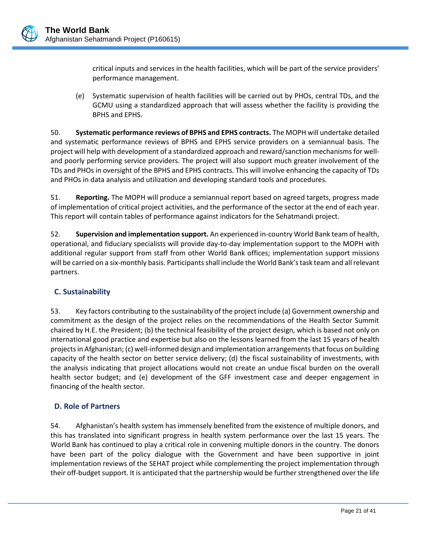

critical inputs and services in the health facilities, which will be part of the service providers' performance management.

(e) Systematic supervision of health facilities will be carried out by PHOs, central TDs, and the GCMU using a standardized approach that will assess whether the facility is providing the BPHS and EPHS.

50. **Systematic performance reviews of BPHS and EPHS contracts.** The MOPH will undertake detailed and systematic performance reviews of BPHS and EPHS service providers on a semiannual basis. The project will help with development of a standardized approach and reward/sanction mechanisms for welland poorly performing service providers. The project will also support much greater involvement of the TDs and PHOs in oversight of the BPHS and EPHS contracts. This will involve enhancing the capacity of TDs and PHOs in data analysis and utilization and developing standard tools and procedures.

51. **Reporting.** The MOPH will produce a semiannual report based on agreed targets, progress made of implementation of critical project activities, and the performance of the sector at the end of each year. This report will contain tables of performance against indicators for the Sehatmandi project.

52. **Supervision and implementation support.** An experienced in-country World Bank team of health, operational, and fiduciary specialists will provide day-to-day implementation support to the MOPH with additional regular support from staff from other World Bank offices; implementation support missions will be carried on a six-monthly basis. Participantsshall include the World Bank's task team and all relevant partners.

# <span id="page-23-0"></span>**C. Sustainability**

53. Key factors contributing to the sustainability of the project include (a) Government ownership and commitment as the design of the project relies on the recommendations of the Health Sector Summit chaired by H.E. the President; (b) the technical feasibility of the project design, which is based not only on international good practice and expertise but also on the lessons learned from the last 15 years of health projects in Afghanistan; (c) well-informed design and implementation arrangements that focus on building capacity of the health sector on better service delivery; (d) the fiscal sustainability of investments, with the analysis indicating that project allocations would not create an undue fiscal burden on the overall health sector budget; and (e) development of the GFF investment case and deeper engagement in financing of the health sector.

## <span id="page-23-1"></span>**D. Role of Partners**

54. Afghanistan's health system has immensely benefited from the existence of multiple donors, and this has translated into significant progress in health system performance over the last 15 years. The World Bank has continued to play a critical role in convening multiple donors in the country. The donors have been part of the policy dialogue with the Government and have been supportive in joint implementation reviews of the SEHAT project while complementing the project implementation through their off-budget support. It is anticipated that the partnership would be further strengthened over the life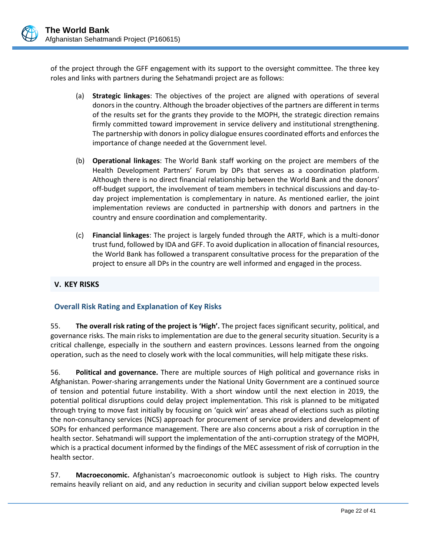

of the project through the GFF engagement with its support to the oversight committee. The three key roles and links with partners during the Sehatmandi project are as follows:

- (a) **Strategic linkages**: The objectives of the project are aligned with operations of several donors in the country. Although the broader objectives of the partners are different in terms of the results set for the grants they provide to the MOPH, the strategic direction remains firmly committed toward improvement in service delivery and institutional strengthening. The partnership with donors in policy dialogue ensures coordinated efforts and enforces the importance of change needed at the Government level.
- (b) **Operational linkages**: The World Bank staff working on the project are members of the Health Development Partners' Forum by DPs that serves as a coordination platform. Although there is no direct financial relationship between the World Bank and the donors' off-budget support, the involvement of team members in technical discussions and day-today project implementation is complementary in nature. As mentioned earlier, the joint implementation reviews are conducted in partnership with donors and partners in the country and ensure coordination and complementarity.
- (c) **Financial linkages**: The project is largely funded through the ARTF, which is a multi-donor trust fund, followed by IDA and GFF. To avoid duplication in allocation of financial resources, the World Bank has followed a transparent consultative process for the preparation of the project to ensure all DPs in the country are well informed and engaged in the process.

## <span id="page-24-0"></span>**V. KEY RISKS**

## **Overall Risk Rating and Explanation of Key Risks**

55. **The overall risk rating of the project is 'High'.** The project faces significant security, political, and governance risks. The main risks to implementation are due to the general security situation. Security is a critical challenge, especially in the southern and eastern provinces. Lessons learned from the ongoing operation, such as the need to closely work with the local communities, will help mitigate these risks.

56. **Political and governance.** There are multiple sources of High political and governance risks in Afghanistan. Power-sharing arrangements under the National Unity Government are a continued source of tension and potential future instability. With a short window until the next election in 2019, the potential political disruptions could delay project implementation. This risk is planned to be mitigated through trying to move fast initially by focusing on 'quick win' areas ahead of elections such as piloting the non-consultancy services (NCS) approach for procurement of service providers and development of SOPs for enhanced performance management. There are also concerns about a risk of corruption in the health sector. Sehatmandi will support the implementation of the anti-corruption strategy of the MOPH, which is a practical document informed by the findings of the MEC assessment of risk of corruption in the health sector.

57. **Macroeconomic.** Afghanistan's macroeconomic outlook is subject to High risks. The country remains heavily reliant on aid, and any reduction in security and civilian support below expected levels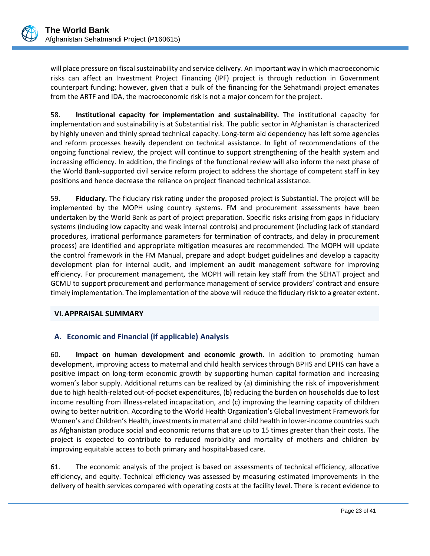will place pressure on fiscal sustainability and service delivery. An important way in which macroeconomic risks can affect an Investment Project Financing (IPF) project is through reduction in Government counterpart funding; however, given that a bulk of the financing for the Sehatmandi project emanates from the ARTF and IDA, the macroeconomic risk is not a major concern for the project.

58. **Institutional capacity for implementation and sustainability.** The institutional capacity for implementation and sustainability is at Substantial risk. The public sector in Afghanistan is characterized by highly uneven and thinly spread technical capacity. Long-term aid dependency has left some agencies and reform processes heavily dependent on technical assistance. In light of recommendations of the ongoing functional review, the project will continue to support strengthening of the health system and increasing efficiency. In addition, the findings of the functional review will also inform the next phase of the World Bank-supported civil service reform project to address the shortage of competent staff in key positions and hence decrease the reliance on project financed technical assistance.

59. **Fiduciary.** The fiduciary risk rating under the proposed project is Substantial. The project will be implemented by the MOPH using country systems. FM and procurement assessments have been undertaken by the World Bank as part of project preparation. Specific risks arising from gaps in fiduciary systems (including low capacity and weak internal controls) and procurement (including lack of standard procedures, irrational performance parameters for termination of contracts, and delay in procurement process) are identified and appropriate mitigation measures are recommended. The MOPH will update the control framework in the FM Manual, prepare and adopt budget guidelines and develop a capacity development plan for internal audit, and implement an audit management software for improving efficiency. For procurement management, the MOPH will retain key staff from the SEHAT project and GCMU to support procurement and performance management of service providers' contract and ensure timely implementation. The implementation of the above will reduce the fiduciary risk to a greater extent.

## <span id="page-25-0"></span>**VI.APPRAISAL SUMMARY**

# <span id="page-25-1"></span>**A. Economic and Financial (if applicable) Analysis**

60. **Impact on human development and economic growth.** In addition to promoting human development, improving access to maternal and child health services through BPHS and EPHS can have a positive impact on long-term economic growth by supporting human capital formation and increasing women's labor supply. Additional returns can be realized by (a) diminishing the risk of impoverishment due to high health-related out-of-pocket expenditures, (b) reducing the burden on households due to lost income resulting from illness-related incapacitation, and (c) improving the learning capacity of children owing to better nutrition. According to the World Health Organization's Global Investment Framework for Women's and Children's Health, investments in maternal and child health in lower-income countries such as Afghanistan produce social and economic returns that are up to 15 times greater than their costs. The project is expected to contribute to reduced morbidity and mortality of mothers and children by improving equitable access to both primary and hospital-based care.

61. The economic analysis of the project is based on assessments of technical efficiency, allocative efficiency, and equity. Technical efficiency was assessed by measuring estimated improvements in the delivery of health services compared with operating costs at the facility level. There is recent evidence to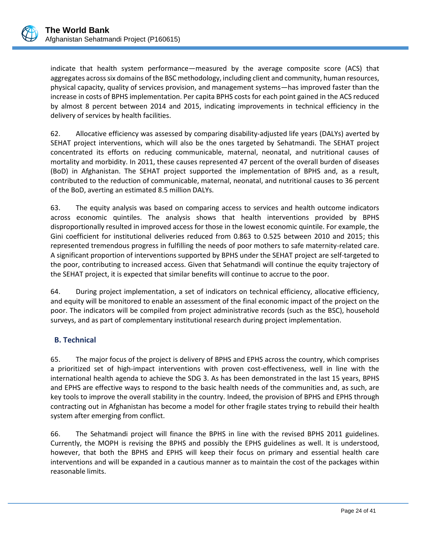indicate that health system performance—measured by the average composite score (ACS) that aggregates across six domains of the BSC methodology, including client and community, human resources, physical capacity, quality of services provision, and management systems—has improved faster than the increase in costs of BPHS implementation. Per capita BPHS costs for each point gained in the ACS reduced by almost 8 percent between 2014 and 2015, indicating improvements in technical efficiency in the delivery of services by health facilities.

62. Allocative efficiency was assessed by comparing disability-adjusted life years (DALYs) averted by SEHAT project interventions, which will also be the ones targeted by Sehatmandi. The SEHAT project concentrated its efforts on reducing communicable, maternal, neonatal, and nutritional causes of mortality and morbidity. In 2011, these causes represented 47 percent of the overall burden of diseases (BoD) in Afghanistan. The SEHAT project supported the implementation of BPHS and, as a result, contributed to the reduction of communicable, maternal, neonatal, and nutritional causes to 36 percent of the BoD, averting an estimated 8.5 million DALYs.

63. The equity analysis was based on comparing access to services and health outcome indicators across economic quintiles. The analysis shows that health interventions provided by BPHS disproportionally resulted in improved access for those in the lowest economic quintile. For example, the Gini coefficient for institutional deliveries reduced from 0.863 to 0.525 between 2010 and 2015; this represented tremendous progress in fulfilling the needs of poor mothers to safe maternity-related care. A significant proportion of interventions supported by BPHS under the SEHAT project are self-targeted to the poor, contributing to increased access. Given that Sehatmandi will continue the equity trajectory of the SEHAT project, it is expected that similar benefits will continue to accrue to the poor.

64. During project implementation, a set of indicators on technical efficiency, allocative efficiency, and equity will be monitored to enable an assessment of the final economic impact of the project on the poor. The indicators will be compiled from project administrative records (such as the BSC), household surveys, and as part of complementary institutional research during project implementation.

# <span id="page-26-0"></span>**B. Technical**

65. The major focus of the project is delivery of BPHS and EPHS across the country, which comprises a prioritized set of high-impact interventions with proven cost-effectiveness, well in line with the international health agenda to achieve the SDG 3. As has been demonstrated in the last 15 years, BPHS and EPHS are effective ways to respond to the basic health needs of the communities and, as such, are key tools to improve the overall stability in the country. Indeed, the provision of BPHS and EPHS through contracting out in Afghanistan has become a model for other fragile states trying to rebuild their health system after emerging from conflict.

66. The Sehatmandi project will finance the BPHS in line with the revised BPHS 2011 guidelines. Currently, the MOPH is revising the BPHS and possibly the EPHS guidelines as well. It is understood, however, that both the BPHS and EPHS will keep their focus on primary and essential health care interventions and will be expanded in a cautious manner as to maintain the cost of the packages within reasonable limits.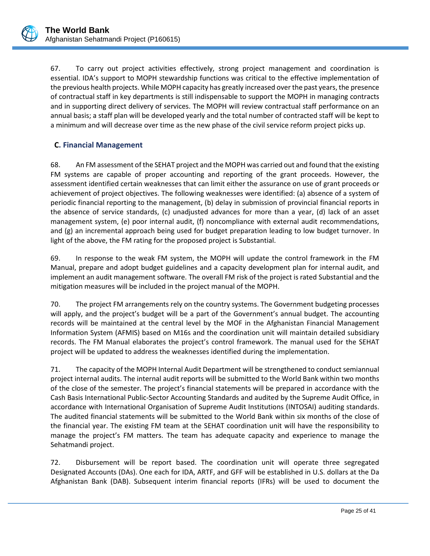67. To carry out project activities effectively, strong project management and coordination is essential. IDA's support to MOPH stewardship functions was critical to the effective implementation of the previous health projects. While MOPH capacity has greatly increased over the past years, the presence of contractual staff in key departments is still indispensable to support the MOPH in managing contracts and in supporting direct delivery of services. The MOPH will review contractual staff performance on an annual basis; a staff plan will be developed yearly and the total number of contracted staff will be kept to a minimum and will decrease over time as the new phase of the civil service reform project picks up.

# <span id="page-27-0"></span>**C. Financial Management**

68. An FM assessment of the SEHAT project and the MOPH was carried out and found that the existing FM systems are capable of proper accounting and reporting of the grant proceeds. However, the assessment identified certain weaknesses that can limit either the assurance on use of grant proceeds or achievement of project objectives. The following weaknesses were identified: (a) absence of a system of periodic financial reporting to the management, (b) delay in submission of provincial financial reports in the absence of service standards, (c) unadjusted advances for more than a year, (d) lack of an asset management system, (e) poor internal audit, (f) noncompliance with external audit recommendations, and (g) an incremental approach being used for budget preparation leading to low budget turnover. In light of the above, the FM rating for the proposed project is Substantial.

69. In response to the weak FM system, the MOPH will update the control framework in the FM Manual, prepare and adopt budget guidelines and a capacity development plan for internal audit, and implement an audit management software. The overall FM risk of the project is rated Substantial and the mitigation measures will be included in the project manual of the MOPH.

70. The project FM arrangements rely on the country systems. The Government budgeting processes will apply, and the project's budget will be a part of the Government's annual budget. The accounting records will be maintained at the central level by the MOF in the Afghanistan Financial Management Information System (AFMIS) based on M16s and the coordination unit will maintain detailed subsidiary records. The FM Manual elaborates the project's control framework. The manual used for the SEHAT project will be updated to address the weaknesses identified during the implementation.

71. The capacity of the MOPH Internal Audit Department will be strengthened to conduct semiannual project internal audits. The internal audit reports will be submitted to the World Bank within two months of the close of the semester. The project's financial statements will be prepared in accordance with the Cash Basis International Public-Sector Accounting Standards and audited by the Supreme Audit Office, in accordance with International Organisation of Supreme Audit Institutions (INTOSAI) auditing standards. The audited financial statements will be submitted to the World Bank within six months of the close of the financial year. The existing FM team at the SEHAT coordination unit will have the responsibility to manage the project's FM matters. The team has adequate capacity and experience to manage the Sehatmandi project.

72. Disbursement will be report based. The coordination unit will operate three segregated Designated Accounts (DAs). One each for IDA, ARTF, and GFF will be established in U.S. dollars at the Da Afghanistan Bank (DAB). Subsequent interim financial reports (IFRs) will be used to document the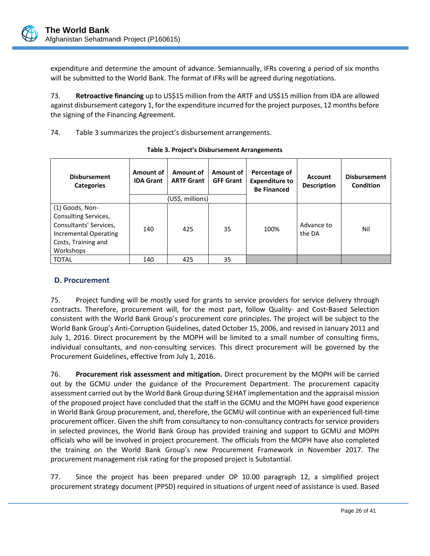expenditure and determine the amount of advance. Semiannually, IFRs covering a period of six months will be submitted to the World Bank. The format of IFRs will be agreed during negotiations.

73. **Retroactive financing** up to US\$15 million from the ARTF and US\$15 million from IDA are allowed against disbursement category 1, for the expenditure incurred for the project purposes, 12 months before the signing of the Financing Agreement.

74. [Table 3](#page-28-1) summarizes the project's disbursement arrangements.

<span id="page-28-1"></span>

| <b>Disbursement</b><br><b>Categories</b>                                                                                       | Amount of<br><b>IDA Grant</b> | Amount of<br><b>ARTF Grant</b> | Amount of<br><b>GFF Grant</b> | Percentage of<br><b>Expenditure to</b><br><b>Be Financed</b> | <b>Account</b><br><b>Description</b> | <b>Disbursement</b><br>Condition |
|--------------------------------------------------------------------------------------------------------------------------------|-------------------------------|--------------------------------|-------------------------------|--------------------------------------------------------------|--------------------------------------|----------------------------------|
|                                                                                                                                |                               | (US\$, millions)               |                               |                                                              |                                      |                                  |
| (1) Goods, Non-<br>Consulting Services,<br>Consultants' Services,<br>Incremental Operating<br>Costs, Training and<br>Workshops | 140                           | 425                            | 35                            | 100%                                                         | Advance to<br>the DA                 | Nil                              |
| <b>TOTAL</b>                                                                                                                   | 140                           | 425                            | 35                            |                                                              |                                      |                                  |

# <span id="page-28-0"></span>**D. Procurement**

75. Project funding will be mostly used for grants to service providers for service delivery through contracts. Therefore, procurement will, for the most part, follow Quality- and Cost-Based Selection consistent with the World Bank Group's procurement core principles. The project will be subject to the World Bank Group's Anti-Corruption Guidelines, dated October 15, 2006, and revised in January 2011 and July 1, 2016. Direct procurement by the MOPH will be limited to a small number of consulting firms, individual consultants, and non-consulting services. This direct procurement will be governed by the Procurement Guidelines, effective from July 1, 2016.

76. **Procurement risk assessment and mitigation.** Direct procurement by the MOPH will be carried out by the GCMU under the guidance of the Procurement Department. The procurement capacity assessment carried out by the World Bank Group during SEHAT implementation and the appraisal mission of the proposed project have concluded that the staff in the GCMU and the MOPH have good experience in World Bank Group procurement, and, therefore, the GCMU will continue with an experienced full-time procurement officer. Given the shift from consultancy to non-consultancy contracts for service providers in selected provinces, the World Bank Group has provided training and support to GCMU and MOPH officials who will be involved in project procurement. The officials from the MOPH have also completed the training on the World Bank Group's new Procurement Framework in November 2017. The procurement management risk rating for the proposed project is Substantial.

77. Since the project has been prepared under OP 10.00 paragraph 12, a simplified project procurement strategy document (PPSD) required in situations of urgent need of assistance is used. Based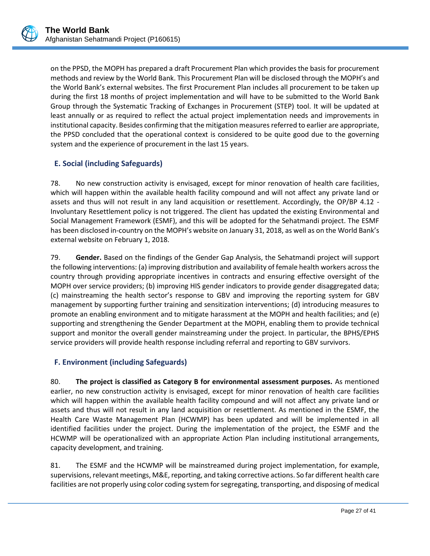

on the PPSD, the MOPH has prepared a draft Procurement Plan which provides the basis for procurement methods and review by the World Bank. This Procurement Plan will be disclosed through the MOPH's and the World Bank's external websites. The first Procurement Plan includes all procurement to be taken up during the first 18 months of project implementation and will have to be submitted to the World Bank Group through the Systematic Tracking of Exchanges in Procurement (STEP) tool. It will be updated at least annually or as required to reflect the actual project implementation needs and improvements in institutional capacity. Besides confirming that the mitigation measures referred to earlier are appropriate, the PPSD concluded that the operational context is considered to be quite good due to the governing system and the experience of procurement in the last 15 years.

# <span id="page-29-0"></span>**E. Social (including Safeguards)**

78. No new construction activity is envisaged, except for minor renovation of health care facilities, which will happen within the available health facility compound and will not affect any private land or assets and thus will not result in any land acquisition or resettlement. Accordingly, the OP/BP 4.12 - Involuntary Resettlement policy is not triggered. The client has updated the existing Environmental and Social Management Framework (ESMF), and this will be adopted for the Sehatmandi project. The ESMF has been disclosed in-country on the MOPH's website on January 31, 2018, as well as on the World Bank's external website on February 1, 2018.

79. **Gender.** Based on the findings of the Gender Gap Analysis, the Sehatmandi project will support the following interventions: (a) improving distribution and availability of female health workers across the country through providing appropriate incentives in contracts and ensuring effective oversight of the MOPH over service providers; (b) improving HIS gender indicators to provide gender disaggregated data; (c) mainstreaming the health sector's response to GBV and improving the reporting system for GBV management by supporting further training and sensitization interventions; (d) introducing measures to promote an enabling environment and to mitigate harassment at the MOPH and health facilities; and (e) supporting and strengthening the Gender Department at the MOPH, enabling them to provide technical support and monitor the overall gender mainstreaming under the project. In particular, the BPHS/EPHS service providers will provide health response including referral and reporting to GBV survivors.

# <span id="page-29-1"></span>**F. Environment (including Safeguards)**

80. **The project is classified as Category B for environmental assessment purposes.** As mentioned earlier, no new construction activity is envisaged, except for minor renovation of health care facilities which will happen within the available health facility compound and will not affect any private land or assets and thus will not result in any land acquisition or resettlement. As mentioned in the ESMF, the Health Care Waste Management Plan (HCWMP) has been updated and will be implemented in all identified facilities under the project. During the implementation of the project, the ESMF and the HCWMP will be operationalized with an appropriate Action Plan including institutional arrangements, capacity development, and training.

81. The ESMF and the HCWMP will be mainstreamed during project implementation, for example, supervisions, relevant meetings, M&E, reporting, and taking corrective actions. So far different health care facilities are not properly using color coding system for segregating, transporting, and disposing of medical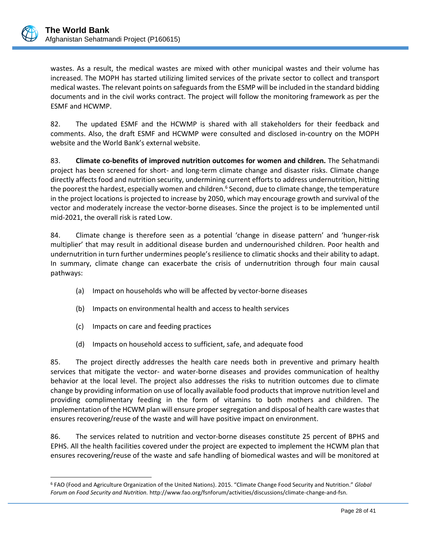

 $\overline{a}$ 

wastes. As a result, the medical wastes are mixed with other municipal wastes and their volume has increased. The MOPH has started utilizing limited services of the private sector to collect and transport medical wastes. The relevant points on safeguards from the ESMP will be included in the standard bidding documents and in the civil works contract. The project will follow the monitoring framework as per the ESMF and HCWMP.

82. The updated ESMF and the HCWMP is shared with all stakeholders for their feedback and comments. Also, the draft ESMF and HCWMP were consulted and disclosed in-country on the MOPH website and the World Bank's external website.

83. **Climate co-benefits of improved nutrition outcomes for women and children.** The Sehatmandi project has been screened for short- and long-term climate change and disaster risks. Climate change directly affects food and nutrition security, undermining current efforts to address undernutrition, hitting the poorest the hardest, especially women and children.<sup>6</sup> Second, due to climate change, the temperature in the project locations is projected to increase by 2050, which may encourage growth and survival of the vector and moderately increase the vector-borne diseases. Since the project is to be implemented until mid-2021, the overall risk is rated Low.

84. Climate change is therefore seen as a potential 'change in disease pattern' and 'hunger-risk multiplier' that may result in additional disease burden and undernourished children. Poor health and undernutrition in turn further undermines people's resilience to climatic shocks and their ability to adapt. In summary, climate change can exacerbate the crisis of undernutrition through four main causal pathways:

- (a) Impact on households who will be affected by vector-borne diseases
- (b) Impacts on environmental health and access to health services
- (c) Impacts on care and feeding practices
- (d) Impacts on household access to sufficient, safe, and adequate food

85. The project directly addresses the health care needs both in preventive and primary health services that mitigate the vector- and water-borne diseases and provides communication of healthy behavior at the local level. The project also addresses the risks to nutrition outcomes due to climate change by providing information on use of locally available food products that improve nutrition level and providing complimentary feeding in the form of vitamins to both mothers and children. The implementation of the HCWM plan will ensure proper segregation and disposal of health care wastes that ensures recovering/reuse of the waste and will have positive impact on environment.

86. The services related to nutrition and vector-borne diseases constitute 25 percent of BPHS and EPHS. All the health facilities covered under the project are expected to implement the HCWM plan that ensures recovering/reuse of the waste and safe handling of biomedical wastes and will be monitored at

<sup>6</sup> FAO (Food and Agriculture Organization of the United Nations). 2015. "Climate Change Food Security and Nutrition." *Global Forum on Food Security and Nutrition.* http://www.fao.org/fsnforum/activities/discussions/climate-change-and-fsn.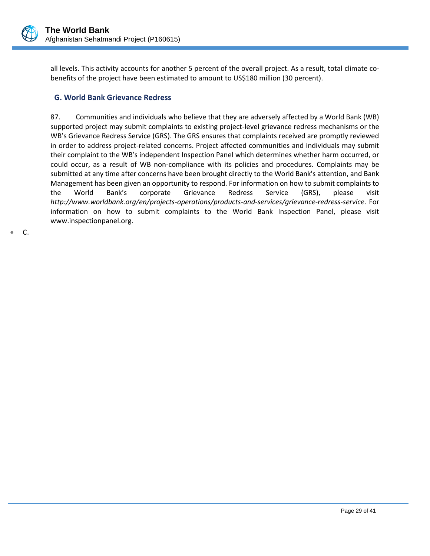

 $C_{\cdot}$ 

all levels. This activity accounts for another 5 percent of the overall project. As a result, total climate cobenefits of the project have been estimated to amount to US\$180 million (30 percent).

### <span id="page-31-0"></span>**G. World Bank Grievance Redress**

87. Communities and individuals who believe that they are adversely affected by a World Bank (WB) supported project may submit complaints to existing project-level grievance redress mechanisms or the WB's Grievance Redress Service (GRS). The GRS ensures that complaints received are promptly reviewed in order to address project-related concerns. Project affected communities and individuals may submit their complaint to the WB's independent Inspection Panel which determines whether harm occurred, or could occur, as a result of WB non-compliance with its policies and procedures. Complaints may be submitted at any time after concerns have been brought directly to the World Bank's attention, and Bank Management has been given an opportunity to respond. For information on how to submit complaints to the World Bank's corporate Grievance Redress Service (GRS), please visit *<http://www.worldbank.org/en/projects-operations/products-and-services/grievance-redress-service>*. For information on how to submit complaints to the World Bank Inspection Panel, please visit [www.inspectionpanel.org.](http://www.inspectionpanel.org/)

Page 29 of 41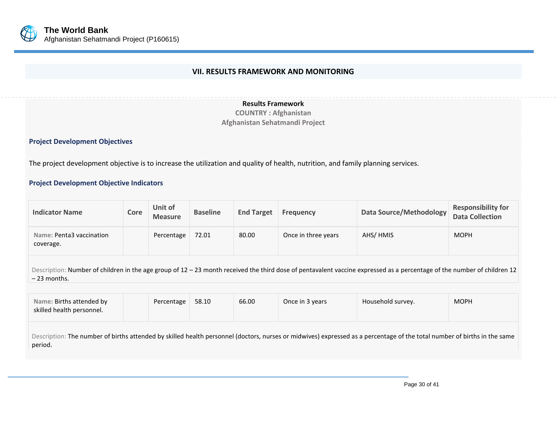

#### **VII. RESULTS FRAMEWORK AND MONITORING**

**Results Framework**

**COUNTRY : Afghanistan Afghanistan Sehatmandi Project**

#### **Project Development Objectives**

The project development objective is to increase the utilization and quality of health, nutrition, and family planning services.

#### **Project Development Objective Indicators**

<span id="page-32-0"></span>

| <b>Indicator Name</b>                 | Core | Unit of<br><b>Measure</b> | <b>Baseline</b> | <b>End Target</b> | <b>Frequency</b>    | Data Source/Methodology | <b>Responsibility for</b><br><b>Data Collection</b> |
|---------------------------------------|------|---------------------------|-----------------|-------------------|---------------------|-------------------------|-----------------------------------------------------|
| Name: Penta3 vaccination<br>coverage. |      | Percentage                | 72.01           | 80.00             | Once in three years | AHS/HMIS                | <b>MOPH</b>                                         |

Description: Number of children in the age group of 12 – 23 month received the third dose of pentavalent vaccine expressed as a percentage of the number of children 12 – 23 months.

| Name: Births attended by<br>skilled health personnel. | Percentage | 58.10 | 66.00 | Once in 3 years | Household survey. | <b>MOPH</b> |
|-------------------------------------------------------|------------|-------|-------|-----------------|-------------------|-------------|
|                                                       |            |       |       |                 |                   |             |

Description: The number of births attended by skilled health personnel (doctors, nurses or midwives) expressed as a percentage of the total number of births in the same period.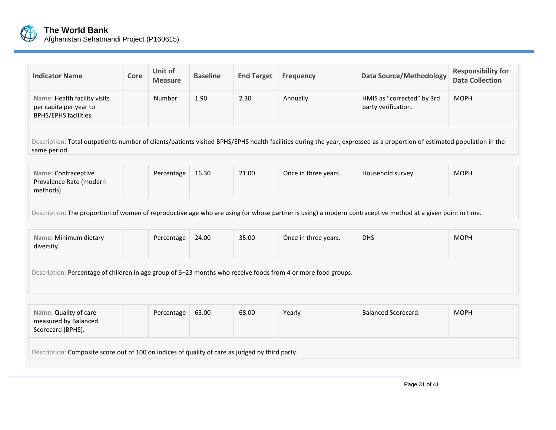

| <b>Indicator Name</b>                                                                                                                                                                   | Core                                                                                            | Unit of<br><b>Measure</b> | <b>Baseline</b> | <b>End Target</b> | <b>Frequency</b>     | <b>Data Source/Methodology</b>                                                                                                                             | <b>Responsibility for</b><br><b>Data Collection</b> |  |  |  |  |
|-----------------------------------------------------------------------------------------------------------------------------------------------------------------------------------------|-------------------------------------------------------------------------------------------------|---------------------------|-----------------|-------------------|----------------------|------------------------------------------------------------------------------------------------------------------------------------------------------------|-----------------------------------------------------|--|--|--|--|
| Name: Health facility visits<br>per capita per year to<br>BPHS/EPHS facilities.                                                                                                         |                                                                                                 | Number                    | 1.90            | 2.30              | Annually             | HMIS as "corrected" by 3rd<br>party verification.                                                                                                          | <b>MOPH</b>                                         |  |  |  |  |
| Description: Total outpatients number of clients/patients visited BPHS/EPHS health facilities during the year, expressed as a proportion of estimated population in the<br>same period. |                                                                                                 |                           |                 |                   |                      |                                                                                                                                                            |                                                     |  |  |  |  |
| Name: Contraceptive<br>Prevalence Rate (modern<br>methods).                                                                                                                             |                                                                                                 | Percentage                | 16.30           | 21.00             | Once in three years. | Household survey.                                                                                                                                          | <b>MOPH</b>                                         |  |  |  |  |
|                                                                                                                                                                                         |                                                                                                 |                           |                 |                   |                      | Description: The proportion of women of reproductive age who are using (or whose partner is using) a modern contraceptive method at a given point in time. |                                                     |  |  |  |  |
| Name: Minimum dietary<br>diversity.                                                                                                                                                     |                                                                                                 | Percentage                | 24.00           | 35.00             | Once in three years. | <b>DHS</b>                                                                                                                                                 | <b>MOPH</b>                                         |  |  |  |  |
| Description: Percentage of children in age group of 6-23 months who receive foods from 4 or more food groups.                                                                           |                                                                                                 |                           |                 |                   |                      |                                                                                                                                                            |                                                     |  |  |  |  |
| Name: Quality of care<br>measured by Balanced<br>Scorecard (BPHS).                                                                                                                      |                                                                                                 | Percentage                | 63.00           | 68.00             | Yearly               | <b>Balanced Scorecard.</b>                                                                                                                                 | <b>MOPH</b>                                         |  |  |  |  |
|                                                                                                                                                                                         | Description: Composite score out of 100 on indices of quality of care as judged by third party. |                           |                 |                   |                      |                                                                                                                                                            |                                                     |  |  |  |  |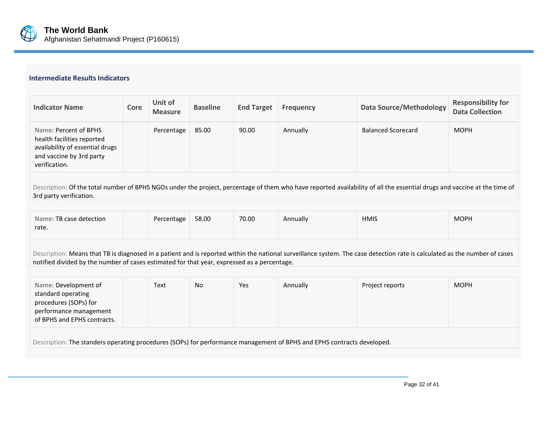

### **Intermediate Results Indicators**

| <b>Indicator Name</b>                                                                                                               | Core | Unit of<br><b>Measure</b> | <b>Baseline</b> | <b>End Target</b> | <b>Frequency</b> | <b>Data Source/Methodology</b> | <b>Responsibility for</b><br><b>Data Collection</b> |
|-------------------------------------------------------------------------------------------------------------------------------------|------|---------------------------|-----------------|-------------------|------------------|--------------------------------|-----------------------------------------------------|
| Name: Percent of BPHS<br>health facilities reported<br>availability of essential drugs<br>and vaccine by 3rd party<br>verification. |      | Percentage                | 85.00           | 90.00             | Annually         | <b>Balanced Scorecard</b>      | <b>MOPH</b>                                         |

Description: Of the total number of BPHS NGOs under the project, percentage of them who have reported availability of all the essential drugs and vaccine at the time of 3rd party verification.

| Name: TB case detection | Percentage | 58.00 | 70.00 | Annually | <b>HMIS</b> | <b>MOPH</b> |
|-------------------------|------------|-------|-------|----------|-------------|-------------|
| rate.                   |            |       |       |          |             |             |

Description: Means that TB is diagnosed in a patient and is reported within the national surveillance system. The case detection rate is calculated as the number of cases notified divided by the number of cases estimated for that year, expressed as a percentage.

| Name: Development of<br>standard operating<br>procedures (SOPs) for<br>performance management<br>of BPHS and EPHS contracts. | Text | No | Yes | Annually | Project reports | <b>MOPH</b> |  |  |
|------------------------------------------------------------------------------------------------------------------------------|------|----|-----|----------|-----------------|-------------|--|--|
| Description: The standers operating procedures (SOPs) for performance management of BPHS and EPHS contracts developed.       |      |    |     |          |                 |             |  |  |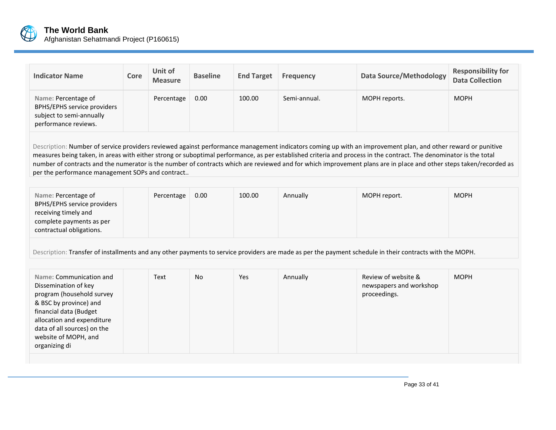

| <b>Indicator Name</b>                                                                                  | Core | Unit of<br><b>Measure</b> | <b>Baseline</b> | <b>End Target</b> | <b>Frequency</b> | <b>Data Source/Methodology</b> | <b>Responsibility for</b><br><b>Data Collection</b> |
|--------------------------------------------------------------------------------------------------------|------|---------------------------|-----------------|-------------------|------------------|--------------------------------|-----------------------------------------------------|
| Name: Percentage of<br>BPHS/EPHS service providers<br>subject to semi-annually<br>performance reviews. |      | Percentage                | 0.00            | 100.00            | Semi-annual.     | MOPH reports.                  | <b>MOPH</b>                                         |

Description: Number of service providers reviewed against performance management indicators coming up with an improvement plan, and other reward or punitive measures being taken, in areas with either strong or suboptimal performance, as per established criteria and process in the contract. The denominator is the total number of contracts and the numerator is the number of contracts which are reviewed and for which improvement plans are in place and other steps taken/recorded as per the performance management SOPs and contract..

| Name: Percentage of<br>BPHS/EPHS service providers<br>receiving timely and<br>complete payments as per<br>contractual obligations. | 0.00<br>Percentage | 100.00 | Annually | MOPH report. | <b>MOPH</b> |
|------------------------------------------------------------------------------------------------------------------------------------|--------------------|--------|----------|--------------|-------------|
|------------------------------------------------------------------------------------------------------------------------------------|--------------------|--------|----------|--------------|-------------|

Description: Transfer of installments and any other payments to service providers are made as per the payment schedule in their contracts with the MOPH.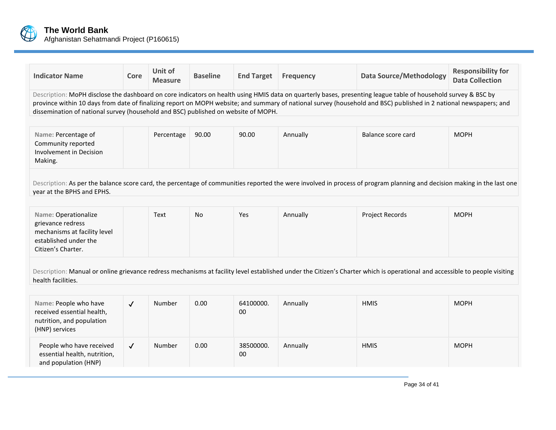

| <b>Indicator Name</b>                                                                                                                                                                                                                                                                                                                                                                                                      | Core         | Unit of<br><b>Measure</b> | <b>Baseline</b> | <b>End Target</b> | <b>Frequency</b> | <b>Data Source/Methodology</b>                                                                                                                                          | <b>Responsibility for</b><br><b>Data Collection</b> |
|----------------------------------------------------------------------------------------------------------------------------------------------------------------------------------------------------------------------------------------------------------------------------------------------------------------------------------------------------------------------------------------------------------------------------|--------------|---------------------------|-----------------|-------------------|------------------|-------------------------------------------------------------------------------------------------------------------------------------------------------------------------|-----------------------------------------------------|
| Description: MoPH disclose the dashboard on core indicators on health using HMIS data on quarterly bases, presenting league table of household survey & BSC by<br>province within 10 days from date of finalizing report on MOPH website; and summary of national survey (household and BSC) published in 2 national newspapers; and<br>dissemination of national survey (household and BSC) published on website of MOPH. |              |                           |                 |                   |                  |                                                                                                                                                                         |                                                     |
| Name: Percentage of<br>Community reported<br>Involvement in Decision<br>Making.                                                                                                                                                                                                                                                                                                                                            |              | Percentage                | 90.00           | 90.00             | Annually         | Balance score card                                                                                                                                                      | <b>MOPH</b>                                         |
| year at the BPHS and EPHS.                                                                                                                                                                                                                                                                                                                                                                                                 |              |                           |                 |                   |                  | Description: As per the balance score card, the percentage of communities reported the were involved in process of program planning and decision making in the last one |                                                     |
| Name: Operationalize<br>grievance redress<br>mechanisms at facility level<br>established under the<br>Citizen's Charter.                                                                                                                                                                                                                                                                                                   |              | Text                      | <b>No</b>       | Yes               | Annually         | <b>Project Records</b>                                                                                                                                                  | <b>MOPH</b>                                         |
| Description: Manual or online grievance redress mechanisms at facility level established under the Citizen's Charter which is operational and accessible to people visiting<br>health facilities.                                                                                                                                                                                                                          |              |                           |                 |                   |                  |                                                                                                                                                                         |                                                     |
| Name: People who have<br>received essential health,<br>nutrition, and population<br>(HNP) services                                                                                                                                                                                                                                                                                                                         | $\checkmark$ | Number                    | 0.00            | 64100000.<br>00   | Annually         | <b>HMIS</b>                                                                                                                                                             | <b>MOPH</b>                                         |
| People who have received<br>essential health, nutrition,<br>and population (HNP)                                                                                                                                                                                                                                                                                                                                           | $\checkmark$ | Number                    | 0.00            | 38500000.<br>00   | Annually         | <b>HMIS</b>                                                                                                                                                             | <b>MOPH</b>                                         |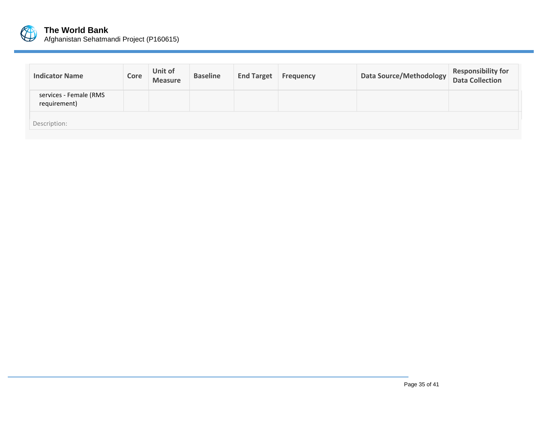

| <b>Indicator Name</b>                  | Core | <b>Unit of</b><br><b>Measure</b> | <b>Baseline</b> | <b>End Target</b> | <b>Frequency</b> | Data Source/Methodology | <b>Responsibility for</b><br>Data Collection |
|----------------------------------------|------|----------------------------------|-----------------|-------------------|------------------|-------------------------|----------------------------------------------|
| services - Female (RMS<br>requirement) |      |                                  |                 |                   |                  |                         |                                              |
| Description:                           |      |                                  |                 |                   |                  |                         |                                              |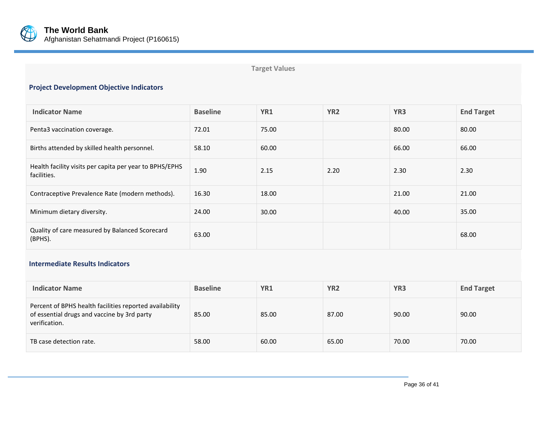

**Target Values**

# **Project Development Objective Indicators**

| <b>Indicator Name</b>                                                  | <b>Baseline</b> | YR1   | YR <sub>2</sub> | YR <sub>3</sub> | <b>End Target</b> |
|------------------------------------------------------------------------|-----------------|-------|-----------------|-----------------|-------------------|
| Penta3 vaccination coverage.                                           | 72.01           | 75.00 |                 | 80.00           | 80.00             |
| Births attended by skilled health personnel.                           | 58.10           | 60.00 |                 | 66.00           | 66.00             |
| Health facility visits per capita per year to BPHS/EPHS<br>facilities. | 1.90            | 2.15  | 2.20            | 2.30            | 2.30              |
| Contraceptive Prevalence Rate (modern methods).                        | 16.30           | 18.00 |                 | 21.00           | 21.00             |
| Minimum dietary diversity.                                             | 24.00           | 30.00 |                 | 40.00           | 35.00             |
| Quality of care measured by Balanced Scorecard<br>(BPHS).              | 63.00           |       |                 |                 | 68.00             |

#### **Intermediate Results Indicators**

| <b>Indicator Name</b>                                                                                                   | <b>Baseline</b> | YR1   | YR <sub>2</sub> | YR <sub>3</sub> | <b>End Target</b> |
|-------------------------------------------------------------------------------------------------------------------------|-----------------|-------|-----------------|-----------------|-------------------|
| Percent of BPHS health facilities reported availability<br>of essential drugs and vaccine by 3rd party<br>verification. | 85.00           | 85.00 | 87.00           | 90.00           | 90.00             |
| TB case detection rate.                                                                                                 | 58.00           | 60.00 | 65.00           | 70.00           | 70.00             |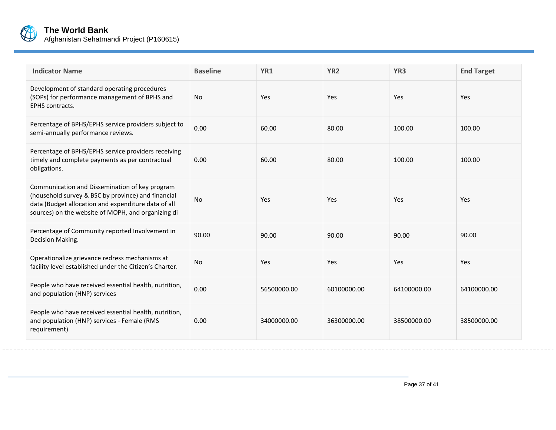

| <b>Indicator Name</b>                                                                                                                                                                                             | <b>Baseline</b> | YR1         | YR <sub>2</sub> | YR <sub>3</sub> | <b>End Target</b> |
|-------------------------------------------------------------------------------------------------------------------------------------------------------------------------------------------------------------------|-----------------|-------------|-----------------|-----------------|-------------------|
| Development of standard operating procedures<br>(SOPs) for performance management of BPHS and<br>EPHS contracts.                                                                                                  | <b>No</b>       | Yes         | Yes             | Yes             | Yes               |
| Percentage of BPHS/EPHS service providers subject to<br>semi-annually performance reviews.                                                                                                                        | 0.00            | 60.00       | 80.00           | 100.00          | 100.00            |
| Percentage of BPHS/EPHS service providers receiving<br>timely and complete payments as per contractual<br>obligations.                                                                                            | 0.00            | 60.00       | 80.00           | 100.00          | 100.00            |
| Communication and Dissemination of key program<br>(household survey & BSC by province) and financial<br>data (Budget allocation and expenditure data of all<br>sources) on the website of MOPH, and organizing di | No              | Yes         | Yes             | Yes             | Yes               |
| Percentage of Community reported Involvement in<br>Decision Making.                                                                                                                                               | 90.00           | 90.00       | 90.00           | 90.00           | 90.00             |
| Operationalize grievance redress mechanisms at<br>facility level established under the Citizen's Charter.                                                                                                         | <b>No</b>       | Yes         | Yes             | Yes             | Yes               |
| People who have received essential health, nutrition,<br>and population (HNP) services                                                                                                                            | 0.00            | 56500000.00 | 60100000.00     | 64100000.00     | 64100000.00       |
| People who have received essential health, nutrition,<br>and population (HNP) services - Female (RMS<br>requirement)                                                                                              | 0.00            | 34000000.00 | 36300000.00     | 38500000.00     | 38500000.00       |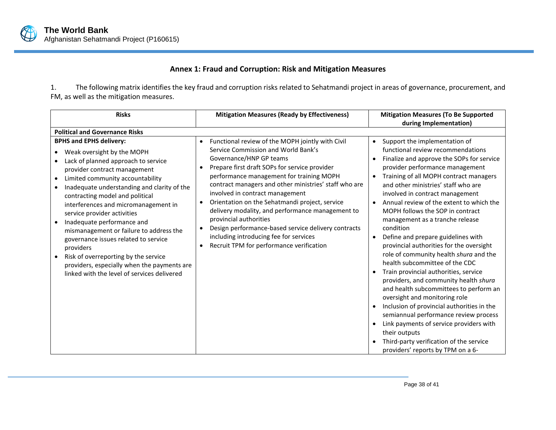# **Annex 1: Fraud and Corruption: Risk and Mitigation Measures**

1. The following matrix identifies the key fraud and corruption risks related to Sehatmandi project in areas of governance, procurement, and FM, as well as the mitigation measures.

<span id="page-40-0"></span>

| <b>Risks</b>                                                                                                                                                                                                                                                                                                                                                                                                                                                                                                                                                                                                      | <b>Mitigation Measures (Ready by Effectiveness)</b>                                                                                                                                                                                                                                                                                                                                                                                                                                                                                                                                                                             | <b>Mitigation Measures (To Be Supported</b><br>during Implementation)                                                                                                                                                                                                                                                                                                                                                                                                                                                                                                                                                                                                                                                                                                                                                                                                                                                                                                             |
|-------------------------------------------------------------------------------------------------------------------------------------------------------------------------------------------------------------------------------------------------------------------------------------------------------------------------------------------------------------------------------------------------------------------------------------------------------------------------------------------------------------------------------------------------------------------------------------------------------------------|---------------------------------------------------------------------------------------------------------------------------------------------------------------------------------------------------------------------------------------------------------------------------------------------------------------------------------------------------------------------------------------------------------------------------------------------------------------------------------------------------------------------------------------------------------------------------------------------------------------------------------|-----------------------------------------------------------------------------------------------------------------------------------------------------------------------------------------------------------------------------------------------------------------------------------------------------------------------------------------------------------------------------------------------------------------------------------------------------------------------------------------------------------------------------------------------------------------------------------------------------------------------------------------------------------------------------------------------------------------------------------------------------------------------------------------------------------------------------------------------------------------------------------------------------------------------------------------------------------------------------------|
| <b>Political and Governance Risks</b>                                                                                                                                                                                                                                                                                                                                                                                                                                                                                                                                                                             |                                                                                                                                                                                                                                                                                                                                                                                                                                                                                                                                                                                                                                 |                                                                                                                                                                                                                                                                                                                                                                                                                                                                                                                                                                                                                                                                                                                                                                                                                                                                                                                                                                                   |
| <b>BPHS and EPHS delivery:</b><br>Weak oversight by the MOPH<br>Lack of planned approach to service<br>provider contract management<br>Limited community accountability<br>Inadequate understanding and clarity of the<br>contracting model and political<br>interferences and micromanagement in<br>service provider activities<br>Inadequate performance and<br>mismanagement or failure to address the<br>governance issues related to service<br>providers<br>Risk of overreporting by the service<br>$\bullet$<br>providers, especially when the payments are<br>linked with the level of services delivered | Functional review of the MOPH jointly with Civil<br>$\bullet$<br>Service Commission and World Bank's<br>Governance/HNP GP teams<br>Prepare first draft SOPs for service provider<br>$\bullet$<br>performance management for training MOPH<br>contract managers and other ministries' staff who are<br>involved in contract management<br>Orientation on the Sehatmandi project, service<br>delivery modality, and performance management to<br>provincial authorities<br>Design performance-based service delivery contracts<br>including introducing fee for services<br>Recruit TPM for performance verification<br>$\bullet$ | Support the implementation of<br>$\bullet$<br>functional review recommendations<br>Finalize and approve the SOPs for service<br>provider performance management<br>Training of all MOPH contract managers<br>and other ministries' staff who are<br>involved in contract management<br>Annual review of the extent to which the<br>MOPH follows the SOP in contract<br>management as a tranche release<br>condition<br>Define and prepare guidelines with<br>provincial authorities for the oversight<br>role of community health shura and the<br>health subcommittee of the CDC<br>Train provincial authorities, service<br>providers, and community health shura<br>and health subcommittees to perform an<br>oversight and monitoring role<br>Inclusion of provincial authorities in the<br>semiannual performance review process<br>Link payments of service providers with<br>their outputs<br>Third-party verification of the service<br>providers' reports by TPM on a 6- |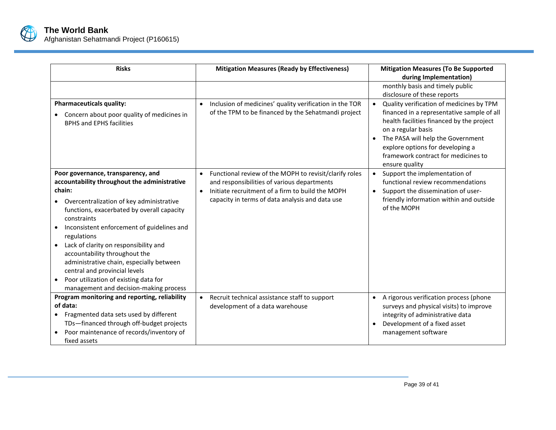

| <b>Risks</b>                                                                                                                                                                                                                                                                                                                                                                             | <b>Mitigation Measures (Ready by Effectiveness)</b>                                                                                                                                                                                    | <b>Mitigation Measures (To Be Supported</b><br>during Implementation)                                                                                                                                                                           |
|------------------------------------------------------------------------------------------------------------------------------------------------------------------------------------------------------------------------------------------------------------------------------------------------------------------------------------------------------------------------------------------|----------------------------------------------------------------------------------------------------------------------------------------------------------------------------------------------------------------------------------------|-------------------------------------------------------------------------------------------------------------------------------------------------------------------------------------------------------------------------------------------------|
| <b>Pharmaceuticals quality:</b>                                                                                                                                                                                                                                                                                                                                                          | Inclusion of medicines' quality verification in the TOR<br>$\bullet$                                                                                                                                                                   | monthly basis and timely public<br>disclosure of these reports<br>Quality verification of medicines by TPM<br>$\bullet$                                                                                                                         |
| Concern about poor quality of medicines in<br><b>BPHS and EPHS facilities</b>                                                                                                                                                                                                                                                                                                            | of the TPM to be financed by the Sehatmandi project                                                                                                                                                                                    | financed in a representative sample of all<br>health facilities financed by the project<br>on a regular basis<br>The PASA will help the Government<br>explore options for developing a<br>framework contract for medicines to<br>ensure quality |
| Poor governance, transparency, and<br>accountability throughout the administrative<br>chain:<br>Overcentralization of key administrative<br>functions, exacerbated by overall capacity<br>constraints<br>Inconsistent enforcement of guidelines and<br>regulations<br>Lack of clarity on responsibility and<br>accountability throughout the<br>administrative chain, especially between | Functional review of the MOPH to revisit/clarify roles<br>$\bullet$<br>and responsibilities of various departments<br>Initiate recruitment of a firm to build the MOPH<br>$\bullet$<br>capacity in terms of data analysis and data use | Support the implementation of<br>$\bullet$<br>functional review recommendations<br>Support the dissemination of user-<br>friendly information within and outside<br>of the MOPH                                                                 |
| central and provincial levels<br>Poor utilization of existing data for<br>$\bullet$<br>management and decision-making process                                                                                                                                                                                                                                                            |                                                                                                                                                                                                                                        |                                                                                                                                                                                                                                                 |
| Program monitoring and reporting, reliability<br>of data:<br>Fragmented data sets used by different<br>TDs-financed through off-budget projects<br>Poor maintenance of records/inventory of<br>fixed assets                                                                                                                                                                              | Recruit technical assistance staff to support<br>development of a data warehouse                                                                                                                                                       | A rigorous verification process (phone<br>$\bullet$<br>surveys and physical visits) to improve<br>integrity of administrative data<br>Development of a fixed asset<br>management software                                                       |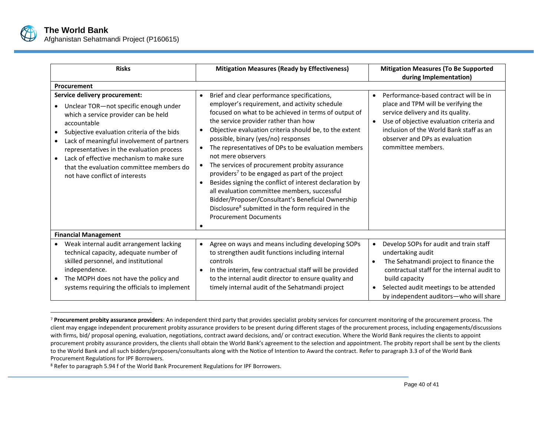

 $\overline{a}$ 

| <b>Risks</b>                                                                                                                                                                                                                                                                                                                                                                                                                                         | <b>Mitigation Measures (Ready by Effectiveness)</b>                                                                                                                                                                                                                                                                                                                                                                                                                                                                                                                                                                                                                                                                                                                                   | <b>Mitigation Measures (To Be Supported</b><br>during Implementation)                                                                                                                                                                                                         |
|------------------------------------------------------------------------------------------------------------------------------------------------------------------------------------------------------------------------------------------------------------------------------------------------------------------------------------------------------------------------------------------------------------------------------------------------------|---------------------------------------------------------------------------------------------------------------------------------------------------------------------------------------------------------------------------------------------------------------------------------------------------------------------------------------------------------------------------------------------------------------------------------------------------------------------------------------------------------------------------------------------------------------------------------------------------------------------------------------------------------------------------------------------------------------------------------------------------------------------------------------|-------------------------------------------------------------------------------------------------------------------------------------------------------------------------------------------------------------------------------------------------------------------------------|
| Procurement                                                                                                                                                                                                                                                                                                                                                                                                                                          |                                                                                                                                                                                                                                                                                                                                                                                                                                                                                                                                                                                                                                                                                                                                                                                       |                                                                                                                                                                                                                                                                               |
| Service delivery procurement:<br>Unclear TOR-not specific enough under<br>$\bullet$<br>which a service provider can be held<br>accountable<br>Subjective evaluation criteria of the bids<br>$\bullet$<br>Lack of meaningful involvement of partners<br>$\bullet$<br>representatives in the evaluation process<br>Lack of effective mechanism to make sure<br>$\bullet$<br>that the evaluation committee members do<br>not have conflict of interests | Brief and clear performance specifications,<br>$\bullet$<br>employer's requirement, and activity schedule<br>focused on what to be achieved in terms of output of<br>the service provider rather than how<br>Objective evaluation criteria should be, to the extent<br>possible, binary (yes/no) responses<br>The representatives of DPs to be evaluation members<br>not mere observers<br>The services of procurement probity assurance<br>$\bullet$<br>providers <sup>7</sup> to be engaged as part of the project<br>Besides signing the conflict of interest declaration by<br>all evaluation committee members, successful<br>Bidder/Proposer/Consultant's Beneficial Ownership<br>Disclosure <sup>8</sup> submitted in the form required in the<br><b>Procurement Documents</b> | Performance-based contract will be in<br>$\bullet$<br>place and TPM will be verifying the<br>service delivery and its quality.<br>Use of objective evaluation criteria and<br>inclusion of the World Bank staff as an<br>observer and DPs as evaluation<br>committee members. |
| <b>Financial Management</b>                                                                                                                                                                                                                                                                                                                                                                                                                          |                                                                                                                                                                                                                                                                                                                                                                                                                                                                                                                                                                                                                                                                                                                                                                                       |                                                                                                                                                                                                                                                                               |
| Weak internal audit arrangement lacking<br>$\bullet$<br>technical capacity, adequate number of<br>skilled personnel, and institutional<br>independence.<br>The MOPH does not have the policy and<br>$\bullet$<br>systems requiring the officials to implement                                                                                                                                                                                        | Agree on ways and means including developing SOPs<br>$\bullet$<br>to strengthen audit functions including internal<br>controls<br>In the interim, few contractual staff will be provided<br>to the internal audit director to ensure quality and<br>timely internal audit of the Sehatmandi project                                                                                                                                                                                                                                                                                                                                                                                                                                                                                   | Develop SOPs for audit and train staff<br>undertaking audit<br>The Sehatmandi project to finance the<br>contractual staff for the internal audit to<br>build capacity<br>Selected audit meetings to be attended<br>by independent auditors-who will share                     |

<sup>7</sup> **Procurement probity assurance providers**: An independent third party that provides specialist probity services for concurrent monitoring of the procurement process. The client may engage independent procurement probity assurance providers to be present during different stages of the procurement process, including engagements/discussions with firms, bid/ proposal opening, evaluation, negotiations, contract award decisions, and/ or contract execution. Where the World Bank requires the clients to appoint procurement probity assurance providers, the clients shall obtain the World Bank's agreement to the selection and appointment. The probity report shall be sent by the clients to the World Bank and all such bidders/proposers/consultants along with the Notice of Intention to Award the contract. Refer to paragraph 3.3 of of the World Bank Procurement Regulations for IPF Borrowers.

<sup>8</sup> Refer to paragraph 5.94 f of the World Bank Procurement Regulations for IPF Borrowers.